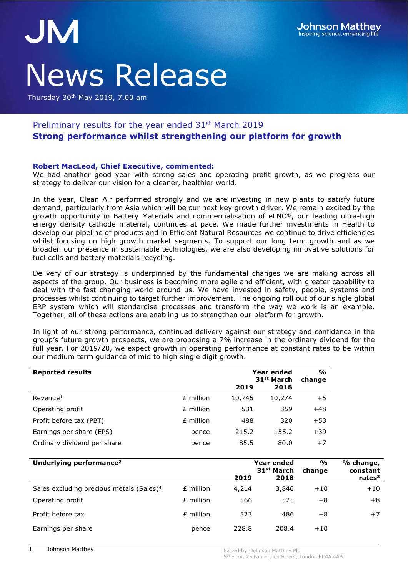# JM News Release

Thursday 30th May 2019, 7.00 am

# Preliminary results for the year ended 31<sup>st</sup> March 2019 Strong performance whilst strengthening our platform for growth

# Robert MacLeod, Chief Executive, commented:

We had another good year with strong sales and operating profit growth, as we progress our strategy to deliver our vision for a cleaner, healthier world.

demand, particularly from Asia which will be our next key growth driver. We remain excited by the In the year, Clean Air performed strongly and we are investing in new plants to satisfy future<br>In the year, Clean Air performed strongly and we are investing in new plants to satisfy future growth opportunity in Battery Materials and commercialisation of eLNO®, our leading ultra-high energy density cathode material, continues at pace. We made further investments in Health to develop our pipeline of products and in Efficient Natural Resources we continue to drive efficiencies whilst focusing on high growth market segments. To support our long term growth and as we broaden our presence in sustainable technologies, we are also developing innovative solutions for fuel cells and battery materials recycling.

Delivery of our strategy is underpinned by the fundamental changes we are making across all aspects of the group. Our business is becoming more agile and efficient, with greater capability to deal with the fast changing world around us. We have invested in safety, people, systems and processes whilst continuing to target further improvement. The ongoing roll out of our single global ERP system which will standardise processes and transform the way we work is an example. Together, all of these actions are enabling us to strengthen our platform for growth.

In light of our strong performance, continued delivery against our strategy and confidence in the group's future growth prospects, we are proposing a 7% increase in the ordinary dividend for the full year. For 2019/20, we expect growth in operating performance at constant rates to be within our medium term guidance of mid to high single digit growth.

| <b>Reported results</b>     |           | Year ended<br>31 <sup>st</sup> March<br>2019 | $\frac{0}{0}$<br>change |       |
|-----------------------------|-----------|----------------------------------------------|-------------------------|-------|
| $Re$ venue $1$              | £ million | 10,745                                       | 10,274                  | $+5$  |
| Operating profit            | £ million | 531                                          | 359                     | $+48$ |
| Profit before tax (PBT)     | £ million | 488                                          | 320                     | $+53$ |
| Earnings per share (EPS)    | pence     | 215.2                                        | 155.2                   | $+39$ |
| Ordinary dividend per share | pence     | 85.5                                         | 80.0                    | $+7$  |

| Underlying performance <sup>2</sup>                  |           | 2019  | Year ended<br>31 <sup>st</sup> March<br>2018 | $\frac{1}{2}$<br>change | % change,<br>constant<br>rates $3$ |
|------------------------------------------------------|-----------|-------|----------------------------------------------|-------------------------|------------------------------------|
| Sales excluding precious metals (Sales) <sup>4</sup> | £ million | 4,214 | 3,846                                        | $+10$                   | $+10$                              |
| Operating profit                                     | £ million | 566   | 525                                          | $+8$                    | $+8$                               |
| Profit before tax                                    | £ million | 523   | 486                                          | $+8$                    | $+7$                               |
| Earnings per share                                   | pence     | 228.8 | 208.4                                        | $+10$                   |                                    |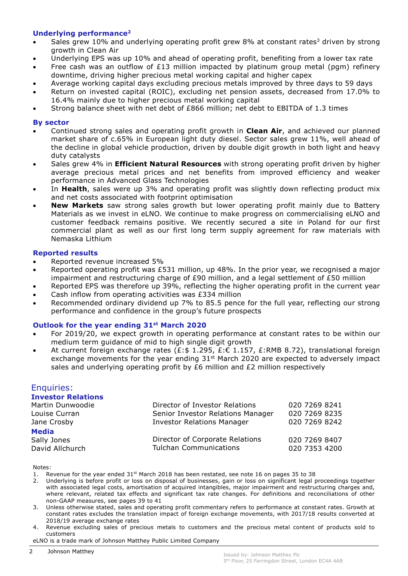# Underlying performance<sup>2</sup>

- Sales grew 10% and underlying operating profit grew 8% at constant rates<sup>3</sup> driven by strong growth in Clean Air
- Underlying EPS was up 10% and ahead of operating profit, benefiting from a lower tax rate
- Free cash was an outflow of £13 million impacted by platinum group metal (pgm) refinery downtime, driving higher precious metal working capital and higher capex
- Average working capital days excluding precious metals improved by three days to 59 days
- Return on invested capital (ROIC), excluding net pension assets, decreased from 17.0% to 16.4% mainly due to higher precious metal working capital
- Strong balance sheet with net debt of £866 million; net debt to EBITDA of 1.3 times

# By sector

- Continued strong sales and operating profit growth in Clean Air, and achieved our planned market share of c.65% in European light duty diesel. Sector sales grew 11%, well ahead of the decline in global vehicle production, driven by double digit growth in both light and heavy duty catalysts
- Sales grew 4% in **Efficient Natural Resources** with strong operating profit driven by higher average precious metal prices and net benefits from improved efficiency and weaker performance in Advanced Glass Technologies
- In **Health**, sales were up 3% and operating profit was slightly down reflecting product mix and net costs associated with footprint optimisation
- New Markets saw strong sales growth but lower operating profit mainly due to Battery Materials as we invest in eLNO. We continue to make progress on commercialising eLNO and customer feedback remains positive. We recently secured a site in Poland for our first commercial plant as well as our first long term supply agreement for raw materials with Nemaska Lithium

## Reported results

- Reported revenue increased 5%
- Reported operating profit was £531 million, up 48%. In the prior year, we recognised a major impairment and restructuring charge of  $E90$  million, and a legal settlement of  $E50$  million
- Reported EPS was therefore up 39%, reflecting the higher operating profit in the current year
- Cash inflow from operating activities was £334 million
- Recommended ordinary dividend up 7% to 85.5 pence for the full year, reflecting our strong performance and confidence in the group's future prospects

# Outlook for the year ending 31<sup>st</sup> March 2020

- For 2019/20, we expect growth in operating performance at constant rates to be within our medium term guidance of mid to high single digit growth
- At current foreign exchange rates (£:\$ 1.295, £:€ 1.157, £:RMB 8.72), translational foreign exchange movements for the year ending  $31<sup>st</sup>$  March 2020 are expected to adversely impact sales and underlying operating profit by £6 million and £2 million respectively

# Enquiries:

#### Investor Relations Martin Dunwoodie Louise Curran Jane Crosby Director of Investor Relations Senior Investor Relations Manager Investor Relations Manager 020 7269 8241 020 7269 8235 020 7269 8242 Media Sally Jones David Allchurch Director of Corporate Relations Tulchan Communications 020 7269 8407 020 7353 4200

Notes:

- 1. Revenue for the year ended  $31<sup>st</sup>$  March 2018 has been restated, see note 16 on pages 35 to 38
- 2. Underlying is before profit or loss on disposal of businesses, gain or loss on significant legal proceedings together with associated legal costs, amortisation of acquired intangibles, major impairment and restructuring charges and, where relevant, related tax effects and significant tax rate changes. For definitions and reconciliations of other non-GAAP measures, see pages 39 to 41
- 3. Unless otherwise stated, sales and operating profit commentary refers to performance at constant rates. Growth at constant rates excludes the translation impact of foreign exchange movements, with 2017/18 results converted at 2018/19 average exchange rates
- 4. Revenue excluding sales of precious metals to customers and the precious metal content of products sold to customers

eLNO is a trade mark of Johnson Matthey Public Limited Company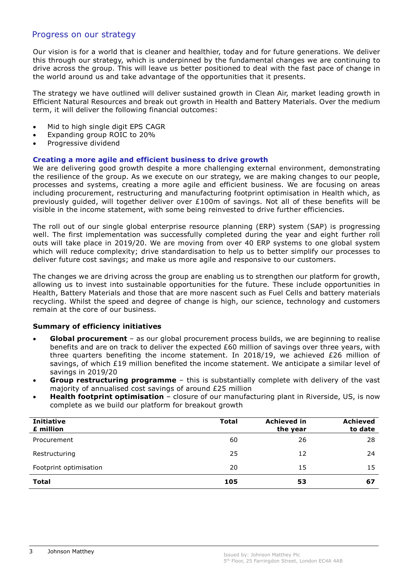# Progress on our strategy

Our vision is for a world that is cleaner and healthier, today and for future generations. We deliver this through our strategy, which is underpinned by the fundamental changes we are continuing to drive across the group. This will leave us better positioned to deal with the fast pace of change in the world around us and take advantage of the opportunities that it presents.

The strategy we have outlined will deliver sustained growth in Clean Air, market leading growth in Efficient Natural Resources and break out growth in Health and Battery Materials. Over the medium term, it will deliver the following financial outcomes:

- Mid to high single digit EPS CAGR
- Expanding group ROIC to 20%
- Progressive dividend

# Creating a more agile and efficient business to drive growth

We are delivering good growth despite a more challenging external environment, demonstrating the resilience of the group. As we execute on our strategy, we are making changes to our people, processes and systems, creating a more agile and efficient business. We are focusing on areas including procurement, restructuring and manufacturing footprint optimisation in Health which, as previously guided, will together deliver over £100m of savings. Not all of these benefits will be visible in the income statement, with some being reinvested to drive further efficiencies.

The roll out of our single global enterprise resource planning (ERP) system (SAP) is progressing well. The first implementation was successfully completed during the year and eight further roll outs will take place in 2019/20. We are moving from over 40 ERP systems to one global system which will reduce complexity; drive standardisation to help us to better simplify our processes to deliver future cost savings; and make us more agile and responsive to our customers.

The changes we are driving across the group are enabling us to strengthen our platform for growth, allowing us to invest into sustainable opportunities for the future. These include opportunities in Health, Battery Materials and those that are more nascent such as Fuel Cells and battery materials recycling. Whilst the speed and degree of change is high, our science, technology and customers remain at the core of our business.

# Summary of efficiency initiatives

- Global procurement as our global procurement process builds, we are beginning to realise benefits and are on track to deliver the expected £60 million of savings over three years, with three quarters benefiting the income statement. In 2018/19, we achieved £26 million of savings, of which £19 million benefited the income statement. We anticipate a similar level of savings in 2019/20
- Group restructuring programme this is substantially complete with delivery of the vast majority of annualised cost savings of around £25 million
- **Health footprint optimisation** closure of our manufacturing plant in Riverside, US, is now complete as we build our platform for breakout growth

| <b>Initiative</b><br>£ million | <b>Total</b> | <b>Achieved in</b><br>the year | <b>Achieved</b><br>to date |
|--------------------------------|--------------|--------------------------------|----------------------------|
| Procurement                    | 60           | 26                             | 28                         |
| Restructuring                  | 25           | 12                             | 24                         |
| Footprint optimisation         | 20           | 15                             | 15                         |
| <b>Total</b>                   | 105          | 53                             | 67                         |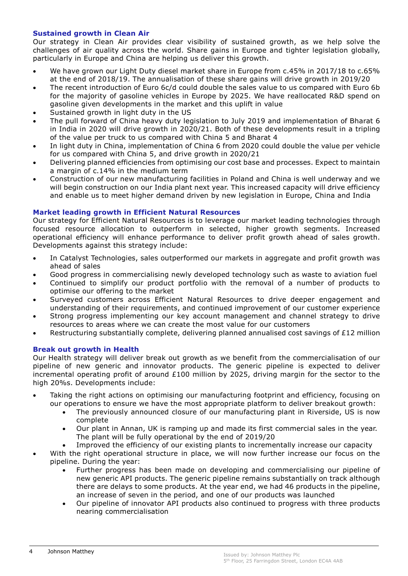# Sustained growth in Clean Air

Our strategy in Clean Air provides clear visibility of sustained growth, as we help solve the challenges of air quality across the world. Share gains in Europe and tighter legislation globally, particularly in Europe and China are helping us deliver this growth.

- We have grown our Light Duty diesel market share in Europe from c.45% in 2017/18 to c.65% at the end of 2018/19. The annualisation of these share gains will drive growth in 2019/20
- The recent introduction of Euro 6c/d could double the sales value to us compared with Euro 6b for the majority of gasoline vehicles in Europe by 2025. We have reallocated R&D spend on gasoline given developments in the market and this uplift in value
- Sustained growth in light duty in the US
- The pull forward of China heavy duty legislation to July 2019 and implementation of Bharat 6 in India in 2020 will drive growth in 2020/21. Both of these developments result in a tripling of the value per truck to us compared with China 5 and Bharat 4
- In light duty in China, implementation of China 6 from 2020 could double the value per vehicle for us compared with China 5, and drive growth in 2020/21
- Delivering planned efficiencies from optimising our cost base and processes. Expect to maintain a margin of c.14% in the medium term
- Construction of our new manufacturing facilities in Poland and China is well underway and we will begin construction on our India plant next year. This increased capacity will drive efficiency and enable us to meet higher demand driven by new legislation in Europe, China and India

# Market leading growth in Efficient Natural Resources

Our strategy for Efficient Natural Resources is to leverage our market leading technologies through focused resource allocation to outperform in selected, higher growth segments. Increased operational efficiency will enhance performance to deliver profit growth ahead of sales growth. Developments against this strategy include:

- In Catalyst Technologies, sales outperformed our markets in aggregate and profit growth was ahead of sales
- Good progress in commercialising newly developed technology such as waste to aviation fuel
- Continued to simplify our product portfolio with the removal of a number of products to optimise our offering to the market
- Surveyed customers across Efficient Natural Resources to drive deeper engagement and understanding of their requirements, and continued improvement of our customer experience
- Strong progress implementing our key account management and channel strategy to drive resources to areas where we can create the most value for our customers
- Restructuring substantially complete, delivering planned annualised cost savings of £12 million

# Break out growth in Health

Our Health strategy will deliver break out growth as we benefit from the commercialisation of our pipeline of new generic and innovator products. The generic pipeline is expected to deliver incremental operating profit of around £100 million by 2025, driving margin for the sector to the high 20%s. Developments include:

- Taking the right actions on optimising our manufacturing footprint and efficiency, focusing on our operations to ensure we have the most appropriate platform to deliver breakout growth:
	- The previously announced closure of our manufacturing plant in Riverside, US is now complete
	- Our plant in Annan, UK is ramping up and made its first commercial sales in the year. The plant will be fully operational by the end of 2019/20
	- Improved the efficiency of our existing plants to incrementally increase our capacity
- With the right operational structure in place, we will now further increase our focus on the pipeline. During the year:
	- Further progress has been made on developing and commercialising our pipeline of new generic API products. The generic pipeline remains substantially on track although there are delays to some products. At the year end, we had 46 products in the pipeline, an increase of seven in the period, and one of our products was launched
	- Our pipeline of innovator API products also continued to progress with three products nearing commercialisation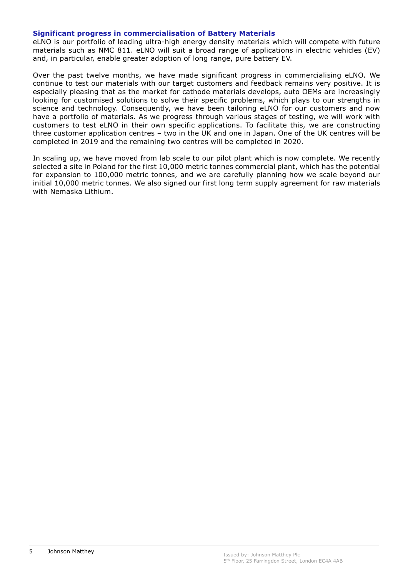# Significant progress in commercialisation of Battery Materials

eLNO is our portfolio of leading ultra-high energy density materials which will compete with future materials such as NMC 811. eLNO will suit a broad range of applications in electric vehicles (EV) and, in particular, enable greater adoption of long range, pure battery EV.

Over the past twelve months, we have made significant progress in commercialising eLNO. We continue to test our materials with our target customers and feedback remains very positive. It is especially pleasing that as the market for cathode materials develops, auto OEMs are increasingly looking for customised solutions to solve their specific problems, which plays to our strengths in science and technology. Consequently, we have been tailoring eLNO for our customers and now have a portfolio of materials. As we progress through various stages of testing, we will work with customers to test eLNO in their own specific applications. To facilitate this, we are constructing three customer application centres – two in the UK and one in Japan. One of the UK centres will be completed in 2019 and the remaining two centres will be completed in 2020.

In scaling up, we have moved from lab scale to our pilot plant which is now complete. We recently selected a site in Poland for the first 10,000 metric tonnes commercial plant, which has the potential for expansion to 100,000 metric tonnes, and we are carefully planning how we scale beyond our initial 10,000 metric tonnes. We also signed our first long term supply agreement for raw materials with Nemaska Lithium.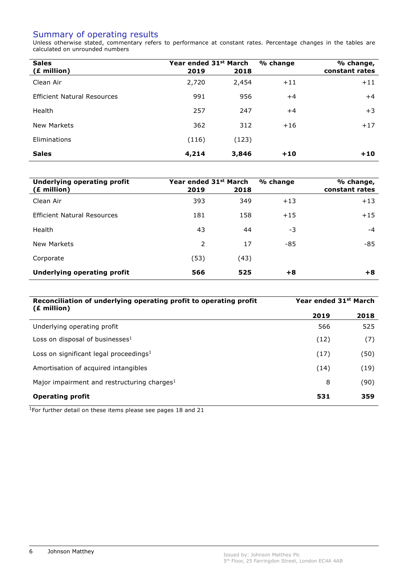# Summary of operating results

Unless otherwise stated, commentary refers to performance at constant rates. Percentage changes in the tables are calculated on unrounded numbers

| <b>Sales</b>                       | Year ended 31st March |       | % change | % change,      |
|------------------------------------|-----------------------|-------|----------|----------------|
| (£ million)                        | 2019                  | 2018  |          | constant rates |
| Clean Air                          | 2,720                 | 2,454 | $+11$    | $+11$          |
| <b>Efficient Natural Resources</b> | 991                   | 956   | $+4$     | $+4$           |
| Health                             | 257                   | 247   | $+4$     | $+3$           |
| New Markets                        | 362                   | 312   | $+16$    | $+17$          |
| <b>Eliminations</b>                | (116)                 | (123) |          |                |
| <b>Sales</b>                       | 4,214                 | 3,846 | $+10$    | $+10$          |

| <b>Underlying operating profit</b><br>(£ million) | Year ended 31 <sup>st</sup> March<br>2019 | 2018 | % change | % change,<br>constant rates |
|---------------------------------------------------|-------------------------------------------|------|----------|-----------------------------|
|                                                   |                                           |      |          |                             |
| Clean Air                                         | 393                                       | 349  | $+13$    | $+13$                       |
| <b>Efficient Natural Resources</b>                | 181                                       | 158  | $+15$    | $+15$                       |
| Health                                            | 43                                        | 44   | -3       | $-4$                        |
| New Markets                                       | 2                                         | 17   | $-85$    | $-85$                       |
| Corporate                                         | (53)                                      | (43) |          |                             |
| <b>Underlying operating profit</b>                | 566                                       | 525  | $+8$     | +8                          |

| Reconciliation of underlying operating profit to operating profit<br>(£ million) | Year ended 31st March |      |  |
|----------------------------------------------------------------------------------|-----------------------|------|--|
|                                                                                  | 2019                  | 2018 |  |
| Underlying operating profit                                                      | 566                   | 525  |  |
| Loss on disposal of businesses $1$                                               | (12)                  | (7)  |  |
| Loss on significant legal proceedings $1$                                        | (17)                  | (50) |  |
| Amortisation of acquired intangibles                                             | (14)                  | (19) |  |
| Major impairment and restructuring charges <sup>1</sup>                          | 8                     | (90) |  |
| <b>Operating profit</b>                                                          | 531                   | 359  |  |

1For further detail on these items please see pages 18 and 21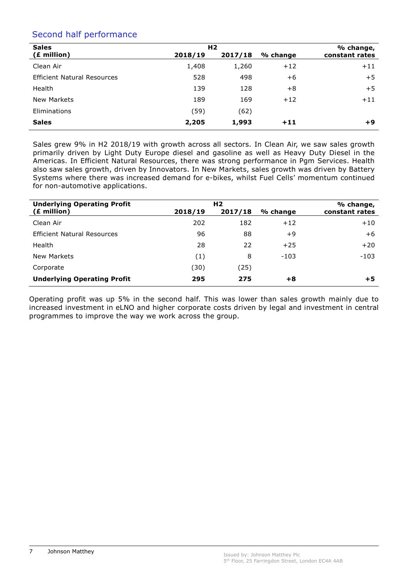# Second half performance

| <b>Sales</b>                       | % change, |         |          |                |
|------------------------------------|-----------|---------|----------|----------------|
| (£ million)                        | 2018/19   | 2017/18 | % change | constant rates |
| Clean Air                          | 1,408     | 1,260   | $+12$    | $+11$          |
| <b>Efficient Natural Resources</b> | 528       | 498     | $+6$     | $+5$           |
| Health                             | 139       | 128     | $+8$     | $+5$           |
| <b>New Markets</b>                 | 189       | 169     | $+12$    | $+11$          |
| <b>Eliminations</b>                | (59)      | (62)    |          |                |
| <b>Sales</b>                       | 2,205     | 1,993   | $+11$    | +9             |

Sales grew 9% in H2 2018/19 with growth across all sectors. In Clean Air, we saw sales growth primarily driven by Light Duty Europe diesel and gasoline as well as Heavy Duty Diesel in the Americas. In Efficient Natural Resources, there was strong performance in Pgm Services. Health also saw sales growth, driven by Innovators. In New Markets, sales growth was driven by Battery Systems where there was increased demand for e-bikes, whilst Fuel Cells' momentum continued for non-automotive applications.

| <b>Underlying Operating Profit</b> | H <sub>2</sub> |         |          |                |
|------------------------------------|----------------|---------|----------|----------------|
| (£ million)                        | 2018/19        | 2017/18 | % change | constant rates |
| Clean Air                          | 202            | 182     | $+12$    | $+10$          |
| Efficient Natural Resources        | 96             | 88      | +9       | $+6$           |
| Health                             | 28             | 22      | $+25$    | $+20$          |
| New Markets                        | (1)            | 8       | $-103$   | $-103$         |
| Corporate                          | (30)           | (25)    |          |                |
| <b>Underlying Operating Profit</b> | 295            | 275     | $+8$     | $+5$           |

Operating profit was up 5% in the second half. This was lower than sales growth mainly due to increased investment in eLNO and higher corporate costs driven by legal and investment in central programmes to improve the way we work across the group.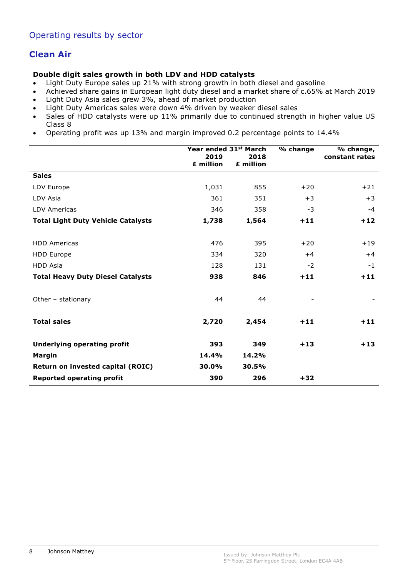# Clean Air

# Double digit sales growth in both LDV and HDD catalysts

- Light Duty Europe sales up 21% with strong growth in both diesel and gasoline
- Achieved share gains in European light duty diesel and a market share of c.65% at March 2019
- Light Duty Asia sales grew 3%, ahead of market production
- Light Duty Americas sales were down 4% driven by weaker diesel sales
- Sales of HDD catalysts were up 11% primarily due to continued strength in higher value US Class 8
- Operating profit was up 13% and margin improved 0.2 percentage points to 14.4%

|                                           | Year ended 31 <sup>st</sup> March |                   | % change | % change,      |
|-------------------------------------------|-----------------------------------|-------------------|----------|----------------|
|                                           | 2019<br>£ million                 | 2018<br>£ million |          | constant rates |
| <b>Sales</b>                              |                                   |                   |          |                |
| LDV Europe                                | 1,031                             | 855               | $+20$    | $+21$          |
| LDV Asia                                  | 361                               | 351               | $+3$     | $+3$           |
| <b>LDV Americas</b>                       | 346                               | 358               | $-3$     | $-4$           |
| <b>Total Light Duty Vehicle Catalysts</b> | 1,738                             | 1,564             | $+11$    | $+12$          |
| <b>HDD Americas</b>                       | 476                               | 395               | $+20$    | $+19$          |
| <b>HDD Europe</b>                         | 334                               | 320               | $+4$     | $+4$           |
| <b>HDD Asia</b>                           | 128                               | 131               | $-2$     | $-1$           |
| <b>Total Heavy Duty Diesel Catalysts</b>  | 938                               | 846               | $+11$    | $+11$          |
| Other - stationary                        | 44                                | 44                |          |                |
| <b>Total sales</b>                        | 2,720                             | 2,454             | $+11$    | $+11$          |
| <b>Underlying operating profit</b>        | 393                               | 349               | $+13$    | $+13$          |
| <b>Margin</b>                             | 14.4%                             | 14.2%             |          |                |
| Return on invested capital (ROIC)         | 30.0%                             | 30.5%             |          |                |
| <b>Reported operating profit</b>          | 390                               | 296               | $+32$    |                |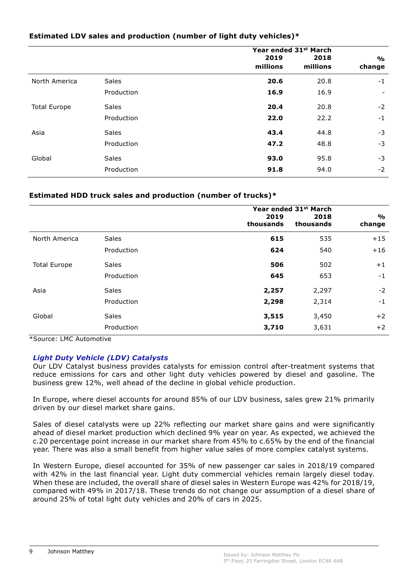|                     |            | Year ended 31st March |                  |                          |
|---------------------|------------|-----------------------|------------------|--------------------------|
|                     |            | 2019<br>millions      | 2018<br>millions | $\frac{1}{2}$<br>change  |
| North America       | Sales      | 20.6                  | 20.8             | $-1$                     |
|                     | Production | 16.9                  | 16.9             | $\overline{\phantom{a}}$ |
| <b>Total Europe</b> | Sales      | 20.4                  | 20.8             | $-2$                     |
|                     | Production | 22.0                  | 22.2             | $-1$                     |
| Asia                | Sales      | 43.4                  | 44.8             | -3                       |
|                     | Production | 47.2                  | 48.8             | $-3$                     |
| Global              | Sales      | 93.0                  | 95.8             | -3                       |
|                     | Production | 91.8                  | 94.0             | $-2$                     |

# Estimated LDV sales and production (number of light duty vehicles)\*

# Estimated HDD truck sales and production (number of trucks)\*

|                     |            | 2019<br>thousands | Year ended 31st March<br>2018<br>thousands | $\frac{1}{2}$<br>change |
|---------------------|------------|-------------------|--------------------------------------------|-------------------------|
| North America       | Sales      | 615               | 535                                        | $+15$                   |
|                     | Production | 624               | 540                                        | $+16$                   |
| <b>Total Europe</b> | Sales      | 506               | 502                                        | $+1$                    |
|                     | Production | 645               | 653                                        | $-1$                    |
| Asia                | Sales      | 2,257             | 2,297                                      | $-2$                    |
|                     | Production | 2,298             | 2,314                                      | $-1$                    |
| Global              | Sales      | 3,515             | 3,450                                      | $+2$                    |
|                     | Production | 3,710             | 3,631                                      | $+2$                    |

\*Source: LMC Automotive

# Light Duty Vehicle (LDV) Catalysts

Our LDV Catalyst business provides catalysts for emission control after-treatment systems that reduce emissions for cars and other light duty vehicles powered by diesel and gasoline. The business grew 12%, well ahead of the decline in global vehicle production.

In Europe, where diesel accounts for around 85% of our LDV business, sales grew 21% primarily driven by our diesel market share gains.

Sales of diesel catalysts were up 22% reflecting our market share gains and were significantly ahead of diesel market production which declined 9% year on year. As expected, we achieved the c.20 percentage point increase in our market share from 45% to c.65% by the end of the financial year. There was also a small benefit from higher value sales of more complex catalyst systems.

In Western Europe, diesel accounted for 35% of new passenger car sales in 2018/19 compared with 42% in the last financial year. Light duty commercial vehicles remain largely diesel today. When these are included, the overall share of diesel sales in Western Europe was 42% for 2018/19, compared with 49% in 2017/18. These trends do not change our assumption of a diesel share of around 25% of total light duty vehicles and 20% of cars in 2025.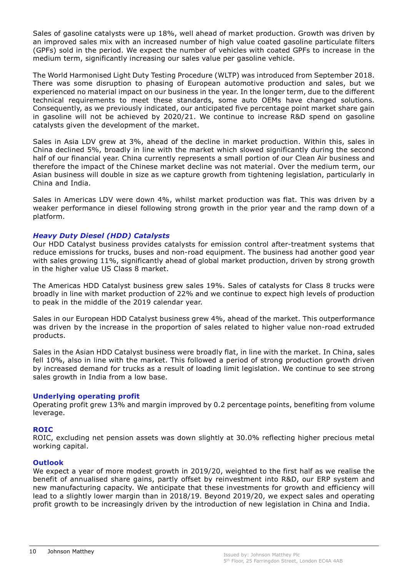Sales of gasoline catalysts were up 18%, well ahead of market production. Growth was driven by an improved sales mix with an increased number of high value coated gasoline particulate filters (GPFs) sold in the period. We expect the number of vehicles with coated GPFs to increase in the medium term, significantly increasing our sales value per gasoline vehicle.

The World Harmonised Light Duty Testing Procedure (WLTP) was introduced from September 2018. There was some disruption to phasing of European automotive production and sales, but we experienced no material impact on our business in the year. In the longer term, due to the different technical requirements to meet these standards, some auto OEMs have changed solutions. Consequently, as we previously indicated, our anticipated five percentage point market share gain in gasoline will not be achieved by 2020/21. We continue to increase R&D spend on gasoline catalysts given the development of the market.

Sales in Asia LDV grew at 3%, ahead of the decline in market production. Within this, sales in China declined 5%, broadly in line with the market which slowed significantly during the second half of our financial year. China currently represents a small portion of our Clean Air business and therefore the impact of the Chinese market decline was not material. Over the medium term, our Asian business will double in size as we capture growth from tightening legislation, particularly in China and India.

Sales in Americas LDV were down 4%, whilst market production was flat. This was driven by a weaker performance in diesel following strong growth in the prior year and the ramp down of a platform.

# Heavy Duty Diesel (HDD) Catalysts

Our HDD Catalyst business provides catalysts for emission control after-treatment systems that reduce emissions for trucks, buses and non-road equipment. The business had another good year with sales growing 11%, significantly ahead of global market production, driven by strong growth in the higher value US Class 8 market.

The Americas HDD Catalyst business grew sales 19%. Sales of catalysts for Class 8 trucks were broadly in line with market production of 22% and we continue to expect high levels of production to peak in the middle of the 2019 calendar year.

Sales in our European HDD Catalyst business grew 4%, ahead of the market. This outperformance was driven by the increase in the proportion of sales related to higher value non-road extruded products.

Sales in the Asian HDD Catalyst business were broadly flat, in line with the market. In China, sales fell 10%, also in line with the market. This followed a period of strong production growth driven by increased demand for trucks as a result of loading limit legislation. We continue to see strong sales growth in India from a low base.

# Underlying operating profit

Operating profit grew 13% and margin improved by 0.2 percentage points, benefiting from volume leverage.

# ROIC

ROIC, excluding net pension assets was down slightly at 30.0% reflecting higher precious metal working capital.

# **Outlook**

We expect a year of more modest growth in 2019/20, weighted to the first half as we realise the benefit of annualised share gains, partly offset by reinvestment into R&D, our ERP system and new manufacturing capacity. We anticipate that these investments for growth and efficiency will lead to a slightly lower margin than in 2018/19. Beyond 2019/20, we expect sales and operating profit growth to be increasingly driven by the introduction of new legislation in China and India.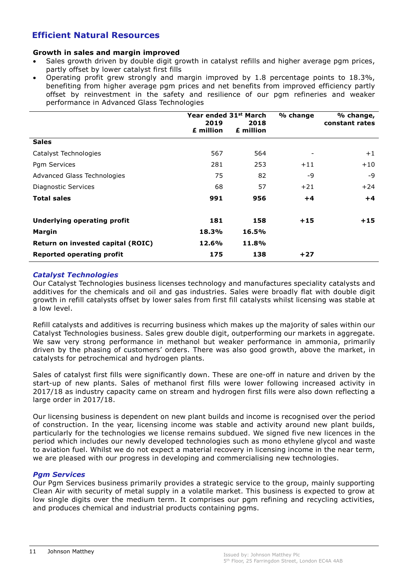# Efficient Natural Resources

# Growth in sales and margin improved

- Sales growth driven by double digit growth in catalyst refills and higher average pgm prices, partly offset by lower catalyst first fills
- Operating profit grew strongly and margin improved by 1.8 percentage points to 18.3%, benefiting from higher average pgm prices and net benefits from improved efficiency partly offset by reinvestment in the safety and resilience of our pgm refineries and weaker performance in Advanced Glass Technologies

|                                    | Year ended 31 <sup>st</sup> March<br>2019<br>£ million | 2018<br>£ million | % change                 | % change,<br>constant rates |
|------------------------------------|--------------------------------------------------------|-------------------|--------------------------|-----------------------------|
| <b>Sales</b>                       |                                                        |                   |                          |                             |
| Catalyst Technologies              | 567                                                    | 564               | $\overline{\phantom{a}}$ | $+1$                        |
| Pgm Services                       | 281                                                    | 253               | $+11$                    | $+10$                       |
| Advanced Glass Technologies        | 75                                                     | 82                | -9                       | -9                          |
| Diagnostic Services                | 68                                                     | 57                | $+21$                    | $+24$                       |
| <b>Total sales</b>                 | 991                                                    | 956               | $+4$                     | $+4$                        |
| <b>Underlying operating profit</b> | 181                                                    | 158               | $+15$                    | $+15$                       |
| <b>Margin</b>                      | 18.3%                                                  | 16.5%             |                          |                             |
| Return on invested capital (ROIC)  | 12.6%                                                  | 11.8%             |                          |                             |
| <b>Reported operating profit</b>   | 175                                                    | 138               | $+27$                    |                             |

# Catalyst Technologies

Our Catalyst Technologies business licenses technology and manufactures speciality catalysts and additives for the chemicals and oil and gas industries. Sales were broadly flat with double digit growth in refill catalysts offset by lower sales from first fill catalysts whilst licensing was stable at a low level.

Refill catalysts and additives is recurring business which makes up the majority of sales within our Catalyst Technologies business. Sales grew double digit, outperforming our markets in aggregate. We saw very strong performance in methanol but weaker performance in ammonia, primarily driven by the phasing of customers' orders. There was also good growth, above the market, in catalysts for petrochemical and hydrogen plants.

Sales of catalyst first fills were significantly down. These are one-off in nature and driven by the start-up of new plants. Sales of methanol first fills were lower following increased activity in 2017/18 as industry capacity came on stream and hydrogen first fills were also down reflecting a large order in 2017/18.

Our licensing business is dependent on new plant builds and income is recognised over the period of construction. In the year, licensing income was stable and activity around new plant builds, particularly for the technologies we license remains subdued. We signed five new licences in the period which includes our newly developed technologies such as mono ethylene glycol and waste to aviation fuel. Whilst we do not expect a material recovery in licensing income in the near term, we are pleased with our progress in developing and commercialising new technologies.

# **Pam Services**

Our Pgm Services business primarily provides a strategic service to the group, mainly supporting Clean Air with security of metal supply in a volatile market. This business is expected to grow at low single digits over the medium term. It comprises our pgm refining and recycling activities, and produces chemical and industrial products containing pgms.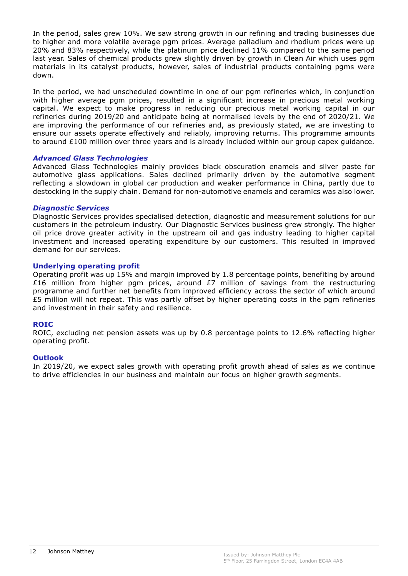In the period, sales grew 10%. We saw strong growth in our refining and trading businesses due to higher and more volatile average pgm prices. Average palladium and rhodium prices were up 20% and 83% respectively, while the platinum price declined 11% compared to the same period last year. Sales of chemical products grew slightly driven by growth in Clean Air which uses pgm materials in its catalyst products, however, sales of industrial products containing pgms were down.

In the period, we had unscheduled downtime in one of our pgm refineries which, in conjunction with higher average pgm prices, resulted in a significant increase in precious metal working capital. We expect to make progress in reducing our precious metal working capital in our refineries during 2019/20 and anticipate being at normalised levels by the end of 2020/21. We are improving the performance of our refineries and, as previously stated, we are investing to ensure our assets operate effectively and reliably, improving returns. This programme amounts to around £100 million over three years and is already included within our group capex guidance.

# Advanced Glass Technologies

Advanced Glass Technologies mainly provides black obscuration enamels and silver paste for automotive glass applications. Sales declined primarily driven by the automotive segment reflecting a slowdown in global car production and weaker performance in China, partly due to destocking in the supply chain. Demand for non-automotive enamels and ceramics was also lower.

# Diagnostic Services

Diagnostic Services provides specialised detection, diagnostic and measurement solutions for our customers in the petroleum industry. Our Diagnostic Services business grew strongly. The higher oil price drove greater activity in the upstream oil and gas industry leading to higher capital investment and increased operating expenditure by our customers. This resulted in improved demand for our services.

# Underlying operating profit

Operating profit was up 15% and margin improved by 1.8 percentage points, benefiting by around £16 million from higher pgm prices, around  $E7$  million of savings from the restructuring programme and further net benefits from improved efficiency across the sector of which around £5 million will not repeat. This was partly offset by higher operating costs in the pgm refineries and investment in their safety and resilience.

# ROIC

ROIC, excluding net pension assets was up by 0.8 percentage points to 12.6% reflecting higher operating profit.

# Outlook

In 2019/20, we expect sales growth with operating profit growth ahead of sales as we continue to drive efficiencies in our business and maintain our focus on higher growth segments.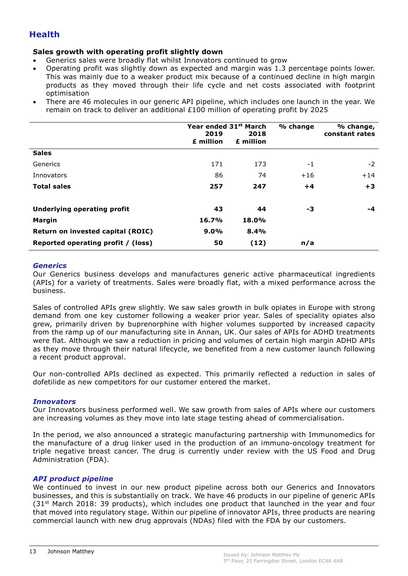# **Health**

# Sales growth with operating profit slightly down

- Generics sales were broadly flat whilst Innovators continued to grow
- Operating profit was slightly down as expected and margin was 1.3 percentage points lower. This was mainly due to a weaker product mix because of a continued decline in high margin products as they moved through their life cycle and net costs associated with footprint optimisation
- There are 46 molecules in our generic API pipeline, which includes one launch in the year. We remain on track to deliver an additional £100 million of operating profit by 2025

|                                    | Year ended 31 <sup>st</sup> March<br>2019<br>£ million | 2018<br>£ million | % change | % change,<br>constant rates |
|------------------------------------|--------------------------------------------------------|-------------------|----------|-----------------------------|
| <b>Sales</b>                       |                                                        |                   |          |                             |
| Generics                           | 171                                                    | 173               | $-1$     | $-2$                        |
| Innovators                         | 86                                                     | 74                | $+16$    | $+14$                       |
| <b>Total sales</b>                 | 257                                                    | 247               | $+4$     | $+3$                        |
| Underlying operating profit        | 43                                                     | 44                | -3       | -4                          |
| <b>Margin</b>                      | 16.7%                                                  | 18.0%             |          |                             |
| Return on invested capital (ROIC)  | $9.0\%$                                                | 8.4%              |          |                             |
| Reported operating profit / (loss) | 50                                                     | (12)              | n/a      |                             |

# **Generics**

Our Generics business develops and manufactures generic active pharmaceutical ingredients (APIs) for a variety of treatments. Sales were broadly flat, with a mixed performance across the business.

Sales of controlled APIs grew slightly. We saw sales growth in bulk opiates in Europe with strong demand from one key customer following a weaker prior year. Sales of speciality opiates also grew, primarily driven by buprenorphine with higher volumes supported by increased capacity from the ramp up of our manufacturing site in Annan, UK. Our sales of APIs for ADHD treatments were flat. Although we saw a reduction in pricing and volumes of certain high margin ADHD APIs as they move through their natural lifecycle, we benefited from a new customer launch following a recent product approval.

Our non-controlled APIs declined as expected. This primarily reflected a reduction in sales of dofetilide as new competitors for our customer entered the market.

# **Innovators**

Our Innovators business performed well. We saw growth from sales of APIs where our customers are increasing volumes as they move into late stage testing ahead of commercialisation.

In the period, we also announced a strategic manufacturing partnership with Immunomedics for the manufacture of a drug linker used in the production of an immuno-oncology treatment for triple negative breast cancer. The drug is currently under review with the US Food and Drug Administration (FDA).

# API product pipeline

We continued to invest in our new product pipeline across both our Generics and Innovators businesses, and this is substantially on track. We have 46 products in our pipeline of generic APIs  $(31<sup>st</sup>$  March 2018: 39 products), which includes one product that launched in the year and four that moved into regulatory stage. Within our pipeline of innovator APIs, three products are nearing commercial launch with new drug approvals (NDAs) filed with the FDA by our customers.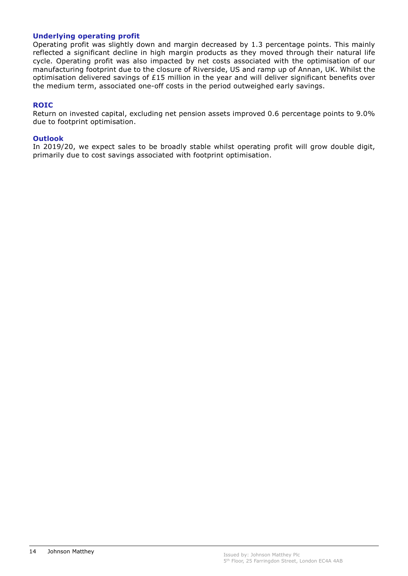# Underlying operating profit

Operating profit was slightly down and margin decreased by 1.3 percentage points. This mainly reflected a significant decline in high margin products as they moved through their natural life cycle. Operating profit was also impacted by net costs associated with the optimisation of our manufacturing footprint due to the closure of Riverside, US and ramp up of Annan, UK. Whilst the optimisation delivered savings of £15 million in the year and will deliver significant benefits over the medium term, associated one-off costs in the period outweighed early savings.

# ROIC

Return on invested capital, excluding net pension assets improved 0.6 percentage points to 9.0% due to footprint optimisation.

## **Outlook**

In 2019/20, we expect sales to be broadly stable whilst operating profit will grow double digit, primarily due to cost savings associated with footprint optimisation.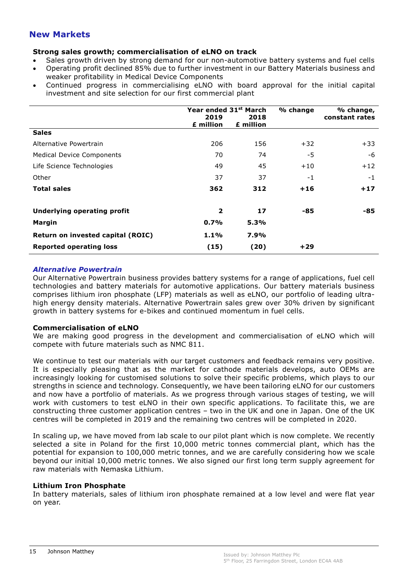# New Markets

# Strong sales growth; commercialisation of eLNO on track

- Sales growth driven by strong demand for our non-automotive battery systems and fuel cells
- Operating profit declined 85% due to further investment in our Battery Materials business and weaker profitability in Medical Device Components
- Continued progress in commercialising eLNO with board approval for the initial capital investment and site selection for our first commercial plant

|                                    | Year ended 31 <sup>st</sup> March<br>2019<br>£ million | 2018<br>£ million | % change | % change,<br>constant rates |
|------------------------------------|--------------------------------------------------------|-------------------|----------|-----------------------------|
| <b>Sales</b>                       |                                                        |                   |          |                             |
| Alternative Powertrain             | 206                                                    | 156               | $+32$    | $+33$                       |
| <b>Medical Device Components</b>   | 70                                                     | 74                | -5       | -6                          |
| Life Science Technologies          | 49                                                     | 45                | $+10$    | $+12$                       |
| Other                              | 37                                                     | 37                | $-1$     | $-1$                        |
| <b>Total sales</b>                 | 362                                                    | 312               | $+16$    | $+17$                       |
| <b>Underlying operating profit</b> | $\overline{\mathbf{2}}$                                | 17                | -85      | -85                         |
| <b>Margin</b>                      | 0.7%                                                   | 5.3%              |          |                             |
| Return on invested capital (ROIC)  | 1.1%                                                   | 7.9%              |          |                             |
| <b>Reported operating loss</b>     | (15)                                                   | (20)              | $+29$    |                             |

# Alternative Powertrain

Our Alternative Powertrain business provides battery systems for a range of applications, fuel cell technologies and battery materials for automotive applications. Our battery materials business comprises lithium iron phosphate (LFP) materials as well as eLNO, our portfolio of leading ultrahigh energy density materials. Alternative Powertrain sales grew over 30% driven by significant growth in battery systems for e-bikes and continued momentum in fuel cells.

# Commercialisation of eLNO

We are making good progress in the development and commercialisation of eLNO which will compete with future materials such as NMC 811.

We continue to test our materials with our target customers and feedback remains very positive. It is especially pleasing that as the market for cathode materials develops, auto OEMs are increasingly looking for customised solutions to solve their specific problems, which plays to our strengths in science and technology. Consequently, we have been tailoring eLNO for our customers and now have a portfolio of materials. As we progress through various stages of testing, we will work with customers to test eLNO in their own specific applications. To facilitate this, we are constructing three customer application centres – two in the UK and one in Japan. One of the UK centres will be completed in 2019 and the remaining two centres will be completed in 2020.

In scaling up, we have moved from lab scale to our pilot plant which is now complete. We recently selected a site in Poland for the first 10,000 metric tonnes commercial plant, which has the potential for expansion to 100,000 metric tonnes, and we are carefully considering how we scale beyond our initial 10,000 metric tonnes. We also signed our first long term supply agreement for raw materials with Nemaska Lithium.

# Lithium Iron Phosphate

In battery materials, sales of lithium iron phosphate remained at a low level and were flat year on year.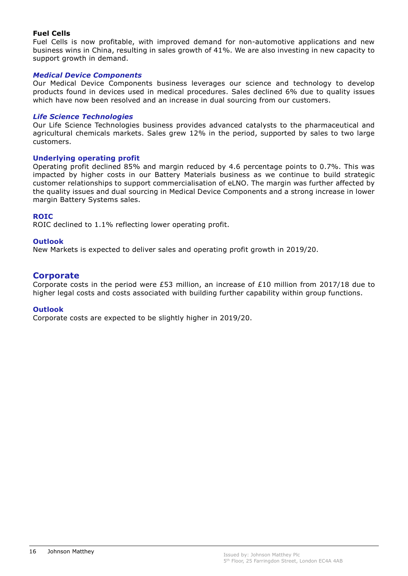# Fuel Cells

Fuel Cells is now profitable, with improved demand for non-automotive applications and new business wins in China, resulting in sales growth of 41%. We are also investing in new capacity to support growth in demand.

# Medical Device Components

Our Medical Device Components business leverages our science and technology to develop products found in devices used in medical procedures. Sales declined 6% due to quality issues which have now been resolved and an increase in dual sourcing from our customers.

# Life Science Technologies

Our Life Science Technologies business provides advanced catalysts to the pharmaceutical and agricultural chemicals markets. Sales grew 12% in the period, supported by sales to two large customers.

# Underlying operating profit

Operating profit declined 85% and margin reduced by 4.6 percentage points to 0.7%. This was impacted by higher costs in our Battery Materials business as we continue to build strategic customer relationships to support commercialisation of eLNO. The margin was further affected by the quality issues and dual sourcing in Medical Device Components and a strong increase in lower margin Battery Systems sales.

# ROIC

ROIC declined to 1.1% reflecting lower operating profit.

# **Outlook**

New Markets is expected to deliver sales and operating profit growth in 2019/20.

# **Corporate**

Corporate costs in the period were £53 million, an increase of £10 million from 2017/18 due to higher legal costs and costs associated with building further capability within group functions.

# **Outlook**

Corporate costs are expected to be slightly higher in 2019/20.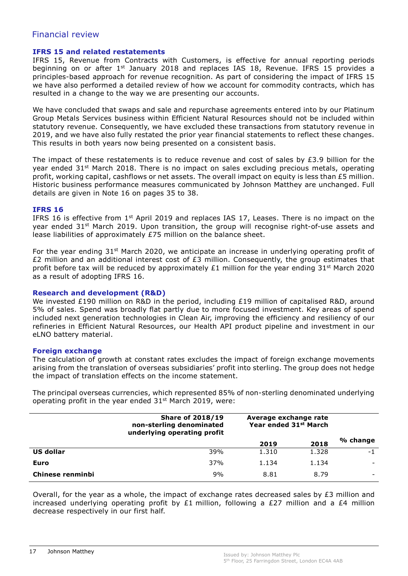# Financial review

# IFRS 15 and related restatements

IFRS 15, Revenue from Contracts with Customers, is effective for annual reporting periods beginning on or after 1<sup>st</sup> January 2018 and replaces IAS 18, Revenue. IFRS 15 provides a principles-based approach for revenue recognition. As part of considering the impact of IFRS 15 we have also performed a detailed review of how we account for commodity contracts, which has resulted in a change to the way we are presenting our accounts.

We have concluded that swaps and sale and repurchase agreements entered into by our Platinum Group Metals Services business within Efficient Natural Resources should not be included within statutory revenue. Consequently, we have excluded these transactions from statutory revenue in 2019, and we have also fully restated the prior year financial statements to reflect these changes. This results in both years now being presented on a consistent basis.

The impact of these restatements is to reduce revenue and cost of sales by  $£3.9$  billion for the year ended 31<sup>st</sup> March 2018. There is no impact on sales excluding precious metals, operating profit, working capital, cashflows or net assets. The overall impact on equity is less than £5 million. Historic business performance measures communicated by Johnson Matthey are unchanged. Full details are given in Note 16 on pages 35 to 38.

# IFRS 16

IFRS 16 is effective from 1<sup>st</sup> April 2019 and replaces IAS 17, Leases. There is no impact on the year ended  $31^{st}$  March 2019. Upon transition, the group will recognise right-of-use assets and lease liabilities of approximately £75 million on the balance sheet.

For the year ending  $31^{st}$  March 2020, we anticipate an increase in underlying operating profit of £2 million and an additional interest cost of £3 million. Consequently, the group estimates that profit before tax will be reduced by approximately £1 million for the year ending 31<sup>st</sup> March 2020 as a result of adopting IFRS 16.

# Research and development (R&D)

We invested £190 million on R&D in the period, including £19 million of capitalised R&D, around 5% of sales. Spend was broadly flat partly due to more focused investment. Key areas of spend included next generation technologies in Clean Air, improving the efficiency and resiliency of our refineries in Efficient Natural Resources, our Health API product pipeline and investment in our eLNO battery material.

# Foreign exchange

The calculation of growth at constant rates excludes the impact of foreign exchange movements arising from the translation of overseas subsidiaries' profit into sterling. The group does not hedge the impact of translation effects on the income statement.

The principal overseas currencies, which represented 85% of non-sterling denominated underlying operating profit in the year ended 31<sup>st</sup> March 2019, were:

|                  | <b>Share of 2018/19</b><br>non-sterling denominated<br>underlying operating profit |       | Average exchange rate<br>Year ended 31 <sup>st</sup> March |          |
|------------------|------------------------------------------------------------------------------------|-------|------------------------------------------------------------|----------|
|                  |                                                                                    | 2019  | 2018                                                       | % change |
| <b>US dollar</b> | 39%                                                                                | 1.310 | 1.328                                                      | -1       |
| Euro             | 37%                                                                                | 1.134 | 1.134                                                      |          |
| Chinese renminbi | 9%                                                                                 | 8.81  | 8.79                                                       |          |

Overall, for the year as a whole, the impact of exchange rates decreased sales by  $E3$  million and increased underlying operating profit by £1 million, following a £27 million and a £4 million decrease respectively in our first half.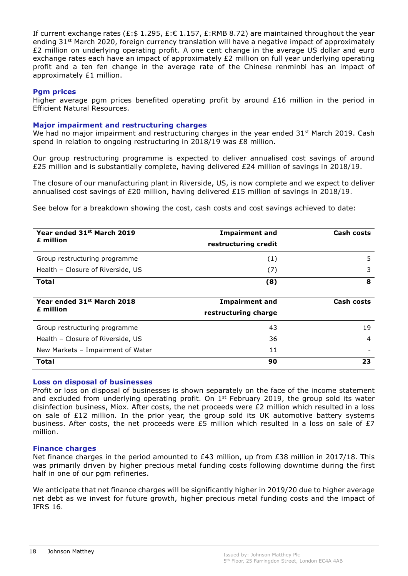If current exchange rates (£:\$ 1.295,  $E:\epsilon$  1.157,  $E:\mathsf{RMB}$  8.72) are maintained throughout the year ending 31st March 2020, foreign currency translation will have a negative impact of approximately £2 million on underlying operating profit. A one cent change in the average US dollar and euro exchange rates each have an impact of approximately £2 million on full year underlying operating profit and a ten fen change in the average rate of the Chinese renminbi has an impact of approximately £1 million.

# Pgm prices

Higher average pgm prices benefited operating profit by around £16 million in the period in Efficient Natural Resources.

# Major impairment and restructuring charges

We had no major impairment and restructuring charges in the year ended 31<sup>st</sup> March 2019. Cash spend in relation to ongoing restructuring in 2018/19 was £8 million.

Our group restructuring programme is expected to deliver annualised cost savings of around £25 million and is substantially complete, having delivered £24 million of savings in 2018/19.

The closure of our manufacturing plant in Riverside, US, is now complete and we expect to deliver annualised cost savings of £20 million, having delivered £15 million of savings in 2018/19.

See below for a breakdown showing the cost, cash costs and cost savings achieved to date:

| Year ended 31st March 2019<br>£ million | <b>Impairment and</b><br>restructuring credit | Cash costs |
|-----------------------------------------|-----------------------------------------------|------------|
| Group restructuring programme           | (1)                                           | 5          |
| Health - Closure of Riverside, US       | (7)                                           | 3          |
| <b>Total</b>                            | (8)                                           | 8          |
| Year ended 31st March 2018<br>£ million | <b>Impairment and</b><br>restructuring charge | Cash costs |
| Group restructuring programme           | 43                                            | 19         |
| Health - Closure of Riverside, US       | 36                                            | 4          |
| New Markets - Impairment of Water       | 11                                            |            |
| <b>Total</b>                            | 90                                            | 23         |

# Loss on disposal of businesses

Profit or loss on disposal of businesses is shown separately on the face of the income statement and excluded from underlying operating profit. On  $1<sup>st</sup>$  February 2019, the group sold its water disinfection business, Miox. After costs, the net proceeds were  $E2$  million which resulted in a loss on sale of  $E12$  million. In the prior year, the group sold its UK automotive battery systems business. After costs, the net proceeds were £5 million which resulted in a loss on sale of  $E7$ million.

# Finance charges

Net finance charges in the period amounted to £43 million, up from £38 million in 2017/18. This was primarily driven by higher precious metal funding costs following downtime during the first half in one of our pgm refineries.

We anticipate that net finance charges will be significantly higher in 2019/20 due to higher average net debt as we invest for future growth, higher precious metal funding costs and the impact of IFRS 16.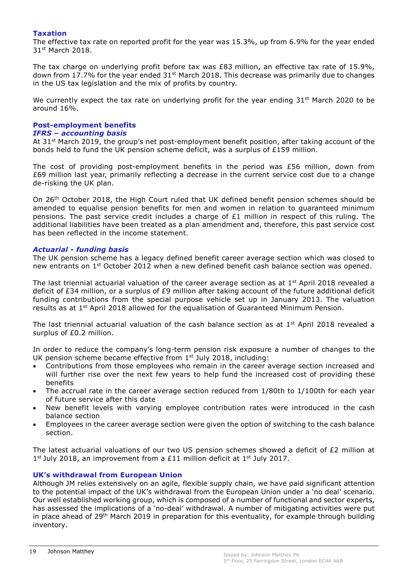# Taxation

The effective tax rate on reported profit for the year was 15.3%, up from 6.9% for the year ended 31st March 2018.

The tax charge on underlying profit before tax was £83 million, an effective tax rate of 15.9%, down from 17.7% for the year ended  $31^{st}$  March 2018. This decrease was primarily due to changes in the US tax legislation and the mix of profits by country.

We currently expect the tax rate on underlying profit for the year ending  $31<sup>st</sup>$  March 2020 to be around 16%.

# Post-employment benefits

# IFRS – accounting basis

At 31<sup>st</sup> March 2019, the group's net post-employment benefit position, after taking account of the bonds held to fund the UK pension scheme deficit, was a surplus of £159 million.

The cost of providing post-employment benefits in the period was  $£56$  million, down from £69 million last year, primarily reflecting a decrease in the current service cost due to a change de-risking the UK plan.

On 26th October 2018, the High Court ruled that UK defined benefit pension schemes should be amended to equalise pension benefits for men and women in relation to guaranteed minimum pensions. The past service credit includes a charge of £1 million in respect of this ruling. The additional liabilities have been treated as a plan amendment and, therefore, this past service cost has been reflected in the income statement.

# Actuarial - funding basis

The UK pension scheme has a legacy defined benefit career average section which was closed to new entrants on 1<sup>st</sup> October 2012 when a new defined benefit cash balance section was opened.

The last triennial actuarial valuation of the career average section as at  $1<sup>st</sup>$  April 2018 revealed a deficit of £34 million, or a surplus of £9 million after taking account of the future additional deficit funding contributions from the special purpose vehicle set up in January 2013. The valuation results as at 1<sup>st</sup> April 2018 allowed for the equalisation of Guaranteed Minimum Pension.

The last triennial actuarial valuation of the cash balance section as at  $1<sup>st</sup>$  April 2018 revealed a surplus of £0.2 million.

In order to reduce the company's long-term pension risk exposure a number of changes to the UK pension scheme became effective from  $1<sup>st</sup>$  July 2018, including:

- Contributions from those employees who remain in the career average section increased and will further rise over the next few years to help fund the increased cost of providing these benefits
- The accrual rate in the career average section reduced from 1/80th to 1/100th for each year of future service after this date
- New benefit levels with varying employee contribution rates were introduced in the cash balance section
- Employees in the career average section were given the option of switching to the cash balance section.

The latest actuarial valuations of our two US pension schemes showed a deficit of £2 million at 1<sup>st</sup> July 2018, an improvement from a £11 million deficit at 1<sup>st</sup> July 2017.

# UK's withdrawal from European Union

Although JM relies extensively on an agile, flexible supply chain, we have paid significant attention to the potential impact of the UK's withdrawal from the European Union under a 'no deal' scenario. Our well established working group, which is composed of a number of functional and sector experts, has assessed the implications of a 'no-deal' withdrawal. A number of mitigating activities were put in place ahead of 29<sup>th</sup> March 2019 in preparation for this eventuality, for example through building inventory.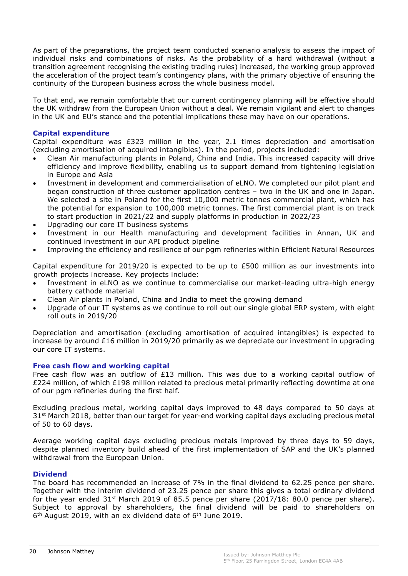As part of the preparations, the project team conducted scenario analysis to assess the impact of individual risks and combinations of risks. As the probability of a hard withdrawal (without a transition agreement recognising the existing trading rules) increased, the working group approved the acceleration of the project team's contingency plans, with the primary objective of ensuring the continuity of the European business across the whole business model.

To that end, we remain comfortable that our current contingency planning will be effective should the UK withdraw from the European Union without a deal. We remain vigilant and alert to changes in the UK and EU's stance and the potential implications these may have on our operations.

# Capital expenditure

Capital expenditure was £323 million in the year, 2.1 times depreciation and amortisation (excluding amortisation of acquired intangibles). In the period, projects included:

- Clean Air manufacturing plants in Poland, China and India. This increased capacity will drive efficiency and improve flexibility, enabling us to support demand from tightening legislation in Europe and Asia
- Investment in development and commercialisation of eLNO. We completed our pilot plant and began construction of three customer application centres – two in the UK and one in Japan. We selected a site in Poland for the first 10,000 metric tonnes commercial plant, which has the potential for expansion to 100,000 metric tonnes. The first commercial plant is on track to start production in 2021/22 and supply platforms in production in 2022/23
- Upgrading our core IT business systems
- Investment in our Health manufacturing and development facilities in Annan, UK and continued investment in our API product pipeline
- Improving the efficiency and resilience of our pgm refineries within Efficient Natural Resources

Capital expenditure for 2019/20 is expected to be up to  $E500$  million as our investments into growth projects increase. Key projects include:

- Investment in eLNO as we continue to commercialise our market-leading ultra-high energy battery cathode material
- Clean Air plants in Poland, China and India to meet the growing demand
- Upgrade of our IT systems as we continue to roll out our single global ERP system, with eight roll outs in 2019/20

Depreciation and amortisation (excluding amortisation of acquired intangibles) is expected to increase by around £16 million in 2019/20 primarily as we depreciate our investment in upgrading our core IT systems.

# Free cash flow and working capital

Free cash flow was an outflow of £13 million. This was due to a working capital outflow of £224 million, of which £198 million related to precious metal primarily reflecting downtime at one of our pgm refineries during the first half.

Excluding precious metal, working capital days improved to 48 days compared to 50 days at  $31<sup>st</sup>$  March 2018, better than our target for year-end working capital days excluding precious metal of 50 to 60 days.

Average working capital days excluding precious metals improved by three days to 59 days, despite planned inventory build ahead of the first implementation of SAP and the UK's planned withdrawal from the European Union.

# Dividend

The board has recommended an increase of 7% in the final dividend to 62.25 pence per share. Together with the interim dividend of 23.25 pence per share this gives a total ordinary dividend for the year ended  $31^{st}$  March 2019 of 85.5 pence per share (2017/18: 80.0 pence per share). Subject to approval by shareholders, the final dividend will be paid to shareholders on 6<sup>th</sup> August 2019, with an ex dividend date of 6<sup>th</sup> June 2019.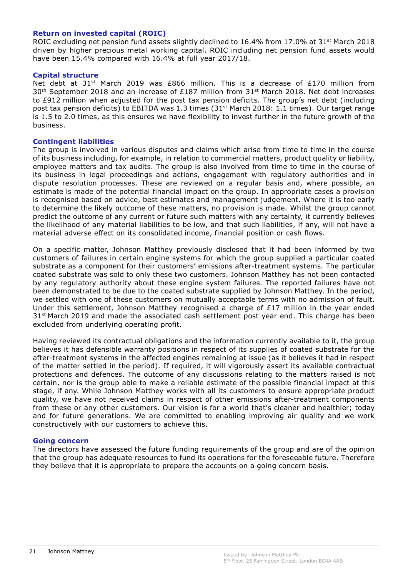# Return on invested capital (ROIC)

ROIC excluding net pension fund assets slightly declined to 16.4% from 17.0% at 31st March 2018 driven by higher precious metal working capital. ROIC including net pension fund assets would have been 15.4% compared with 16.4% at full year 2017/18.

## Capital structure

Net debt at 31<sup>st</sup> March 2019 was £866 million. This is a decrease of £170 million from  $30<sup>th</sup>$  September 2018 and an increase of £187 million from 31<sup>st</sup> March 2018. Net debt increases to £912 million when adjusted for the post tax pension deficits. The group's net debt (including post tax pension deficits) to EBITDA was 1.3 times (31<sup>st</sup> March 2018: 1.1 times). Our target range is 1.5 to 2.0 times, as this ensures we have flexibility to invest further in the future growth of the business.

# Contingent liabilities

The group is involved in various disputes and claims which arise from time to time in the course of its business including, for example, in relation to commercial matters, product quality or liability, employee matters and tax audits. The group is also involved from time to time in the course of its business in legal proceedings and actions, engagement with regulatory authorities and in dispute resolution processes. These are reviewed on a regular basis and, where possible, an estimate is made of the potential financial impact on the group. In appropriate cases a provision is recognised based on advice, best estimates and management judgement. Where it is too early to determine the likely outcome of these matters, no provision is made. Whilst the group cannot predict the outcome of any current or future such matters with any certainty, it currently believes the likelihood of any material liabilities to be low, and that such liabilities, if any, will not have a material adverse effect on its consolidated income, financial position or cash flows.

On a specific matter, Johnson Matthey previously disclosed that it had been informed by two customers of failures in certain engine systems for which the group supplied a particular coated substrate as a component for their customers' emissions after-treatment systems. The particular coated substrate was sold to only these two customers. Johnson Matthey has not been contacted by any regulatory authority about these engine system failures. The reported failures have not been demonstrated to be due to the coated substrate supplied by Johnson Matthey. In the period, we settled with one of these customers on mutually acceptable terms with no admission of fault. Under this settlement, Johnson Matthey recognised a charge of  $E17$  million in the year ended  $31<sup>st</sup>$  March 2019 and made the associated cash settlement post year end. This charge has been excluded from underlying operating profit.

Having reviewed its contractual obligations and the information currently available to it, the group believes it has defensible warranty positions in respect of its supplies of coated substrate for the after-treatment systems in the affected engines remaining at issue (as it believes it had in respect of the matter settled in the period). If required, it will vigorously assert its available contractual protections and defences. The outcome of any discussions relating to the matters raised is not certain, nor is the group able to make a reliable estimate of the possible financial impact at this stage, if any. While Johnson Matthey works with all its customers to ensure appropriate product quality, we have not received claims in respect of other emissions after-treatment components from these or any other customers. Our vision is for a world that's cleaner and healthier; today and for future generations. We are committed to enabling improving air quality and we work constructively with our customers to achieve this.

# Going concern

The directors have assessed the future funding requirements of the group and are of the opinion that the group has adequate resources to fund its operations for the foreseeable future. Therefore they believe that it is appropriate to prepare the accounts on a going concern basis.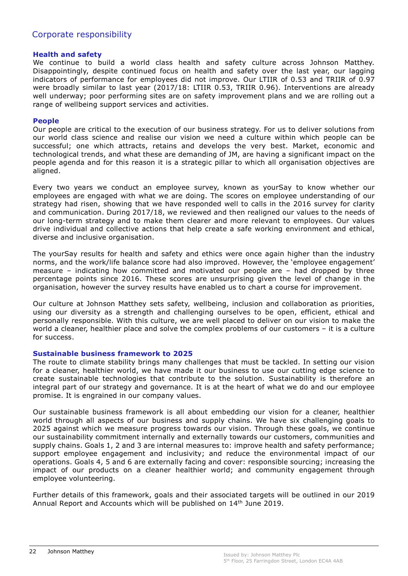# Corporate responsibility

## Health and safety

We continue to build a world class health and safety culture across Johnson Matthey. Disappointingly, despite continued focus on health and safety over the last year, our lagging indicators of performance for employees did not improve. Our LTIIR of 0.53 and TRIIR of 0.97 were broadly similar to last year (2017/18: LTIIR 0.53, TRIIR 0.96). Interventions are already well underway; poor performing sites are on safety improvement plans and we are rolling out a range of wellbeing support services and activities.

## People

Our people are critical to the execution of our business strategy. For us to deliver solutions from our world class science and realise our vision we need a culture within which people can be successful; one which attracts, retains and develops the very best. Market, economic and technological trends, and what these are demanding of JM, are having a significant impact on the people agenda and for this reason it is a strategic pillar to which all organisation objectives are aligned.

Every two years we conduct an employee survey, known as yourSay to know whether our employees are engaged with what we are doing. The scores on employee understanding of our strategy had risen, showing that we have responded well to calls in the 2016 survey for clarity and communication. During 2017/18, we reviewed and then realigned our values to the needs of our long-term strategy and to make them clearer and more relevant to employees. Our values drive individual and collective actions that help create a safe working environment and ethical, diverse and inclusive organisation.

The yourSay results for health and safety and ethics were once again higher than the industry norms, and the work/life balance score had also improved. However, the 'employee engagement' measure – indicating how committed and motivated our people are – had dropped by three percentage points since 2016. These scores are unsurprising given the level of change in the organisation, however the survey results have enabled us to chart a course for improvement.

Our culture at Johnson Matthey sets safety, wellbeing, inclusion and collaboration as priorities, using our diversity as a strength and challenging ourselves to be open, efficient, ethical and personally responsible. With this culture, we are well placed to deliver on our vision to make the world a cleaner, healthier place and solve the complex problems of our customers – it is a culture for success.

# Sustainable business framework to 2025

The route to climate stability brings many challenges that must be tackled. In setting our vision for a cleaner, healthier world, we have made it our business to use our cutting edge science to create sustainable technologies that contribute to the solution. Sustainability is therefore an integral part of our strategy and governance. It is at the heart of what we do and our employee promise. It is engrained in our company values.

Our sustainable business framework is all about embedding our vision for a cleaner, healthier world through all aspects of our business and supply chains. We have six challenging goals to 2025 against which we measure progress towards our vision. Through these goals, we continue our sustainability commitment internally and externally towards our customers, communities and supply chains. Goals 1, 2 and 3 are internal measures to: improve health and safety performance; support employee engagement and inclusivity; and reduce the environmental impact of our operations. Goals 4, 5 and 6 are externally facing and cover: responsible sourcing; increasing the impact of our products on a cleaner healthier world; and community engagement through employee volunteering.

Further details of this framework, goals and their associated targets will be outlined in our 2019 Annual Report and Accounts which will be published on 14th June 2019.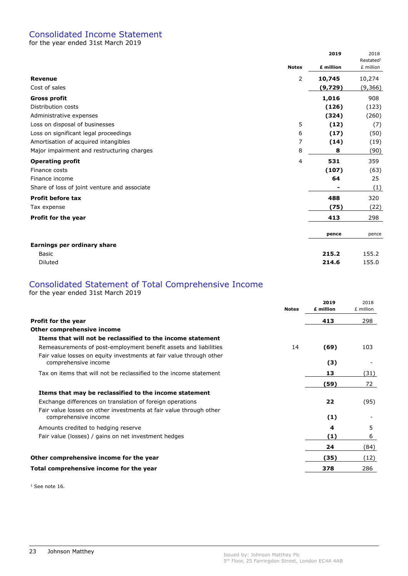# Consolidated Income Statement for the year ended 31st March 2019

2019 2018  $Restated<sup>1</sup>$ Notes **£ million** £ million **Revenue 2 10,27**4 10,274  $\cosh$  of sales (9,729) (9,366) Gross profit and the control of the control of the control of the control of the control of the control of the control of the control of the control of the control of the control of the control of the control of the contro Distribution costs (126) (123) Administrative expenses (324) (260) Loss on disposal of businesses (12) (7) Loss on significant legal proceedings and the set of the set of the set of the set of the set of the set of the set of the set of the set of the set of the set of the set of the set of the set of the set of the set of the Amortisation of acquired intangibles and the control of the control of the control of the control of the control of the control of the control of the control of the control of the control of the control of the control of t Major impairment and restructuring charges and the state of the state of the state of the state of the state of the state of the state of the state of the state of the state of the state of the state of the state of the st **Operating profit** 359 Finance costs (107) (63) Finance income 64 25 Share of loss of joint venture and associate  $(1)$ **Profit before tax 488 320** 320 Tax expense  $(75)$  (22) **Profit for the year 413** 298 pence pence Earnings per ordinary share Basic 215.2 155.2 155.2 155.2 155.2 155.2 155.2 155.2 155.2 155.2 155.2 155.2 155.2 155.2 155.2 155.2 155.2 15 Diluted 214.6 155.0

# Consolidated Statement of Total Comprehensive Income

for the year ended 31st March 2019

| <b>Notes</b>                                                                                | 2019<br>£ million | 2018<br>£ million |
|---------------------------------------------------------------------------------------------|-------------------|-------------------|
| <b>Profit for the year</b>                                                                  | 413               | 298               |
| Other comprehensive income                                                                  |                   |                   |
| Items that will not be reclassified to the income statement                                 |                   |                   |
| Remeasurements of post-employment benefit assets and liabilities                            | 14<br>(69)        | 103               |
| Fair value losses on equity investments at fair value through other<br>comprehensive income | (3)               |                   |
| Tax on items that will not be reclassified to the income statement                          | 13                | (31)              |
|                                                                                             | (59)              | 72                |
| Items that may be reclassified to the income statement                                      |                   |                   |
| Exchange differences on translation of foreign operations                                   | 22                | (95)              |
| Fair value losses on other investments at fair value through other<br>comprehensive income  | (1)               |                   |
| Amounts credited to hedging reserve                                                         | 4                 | 5                 |
| Fair value (losses) / gains on net investment hedges                                        | (1)               | 6                 |
|                                                                                             | 24                | (84)              |
| Other comprehensive income for the year                                                     | (35)              | (12)              |
| Total comprehensive income for the year                                                     | 378               | 286               |

1 See note 16.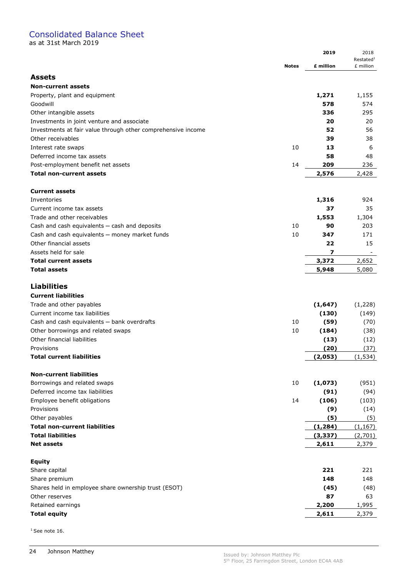# Consolidated Balance Sheet

as at 31st March 2019

|                                                              |              | 2019      | 2018                               |
|--------------------------------------------------------------|--------------|-----------|------------------------------------|
|                                                              | <b>Notes</b> | £ million | Restated <sup>1</sup><br>£ million |
| <b>Assets</b>                                                |              |           |                                    |
| <b>Non-current assets</b>                                    |              |           |                                    |
| Property, plant and equipment                                |              | 1,271     | 1,155                              |
| Goodwill                                                     |              | 578       | 574                                |
| Other intangible assets                                      |              | 336       | 295                                |
| Investments in joint venture and associate                   |              | 20        | 20                                 |
| Investments at fair value through other comprehensive income |              | 52        | 56                                 |
| Other receivables                                            |              | 39        | 38                                 |
| Interest rate swaps                                          | 10           | 13        | 6                                  |
| Deferred income tax assets                                   |              | 58        | 48                                 |
| Post-employment benefit net assets                           | 14           | 209       | 236                                |
| <b>Total non-current assets</b>                              |              | 2,576     | 2,428                              |
|                                                              |              |           |                                    |
| <b>Current assets</b>                                        |              |           |                                    |
| Inventories                                                  |              | 1,316     | 924                                |
| Current income tax assets                                    |              | 37        | 35                                 |
| Trade and other receivables                                  |              | 1,553     | 1,304                              |
| Cash and cash equivalents $-$ cash and deposits              | 10           | 90        | 203                                |
| Cash and cash equivalents - money market funds               | 10           | 347       | 171                                |
| Other financial assets                                       |              | 22        | 15                                 |
| Assets held for sale                                         |              | 7         |                                    |
| <b>Total current assets</b>                                  |              | 3,372     | 2,652                              |
| <b>Total assets</b>                                          |              | 5,948     | 5,080                              |
| <b>Liabilities</b>                                           |              |           |                                    |
| <b>Current liabilities</b>                                   |              |           |                                    |
| Trade and other payables                                     |              | (1, 647)  | (1,228)                            |
| Current income tax liabilities                               |              | (130)     | (149)                              |
| Cash and cash equivalents - bank overdrafts                  | 10           | (59)      | (70)                               |
| Other borrowings and related swaps                           | 10           | (184)     | (38)                               |
| Other financial liabilities                                  |              | (13)      | (12)                               |
| Provisions                                                   |              | (20)      | (37)                               |
| <b>Total current liabilities</b>                             |              | (2.053)   | (1, 534)                           |
| <b>Non-current liabilities</b>                               |              |           |                                    |
| Borrowings and related swaps                                 | 10           | (1,073)   | (951)                              |
| Deferred income tax liabilities                              |              | (91)      | (94)                               |
| Employee benefit obligations                                 | 14           | (106)     | (103)                              |
| Provisions                                                   |              | (9)       | (14)                               |
| Other payables                                               |              | (5)       | (5)                                |
| <b>Total non-current liabilities</b>                         |              | (1, 284)  | (1, 167)                           |
| <b>Total liabilities</b>                                     |              | (3, 337)  | (2,701)                            |
| <b>Net assets</b>                                            |              | 2,611     | 2,379                              |
|                                                              |              |           |                                    |
| <b>Equity</b>                                                |              |           |                                    |
| Share capital                                                |              | 221       | 221                                |
| Share premium                                                |              | 148       | 148                                |
| Shares held in employee share ownership trust (ESOT)         |              | (45)      | (48)                               |
| Other reserves                                               |              | 87        | 63                                 |
| Retained earnings                                            |              | 2,200     | 1,995                              |
| <b>Total equity</b>                                          |              | 2,611     | 2,379                              |

 $1$  See note 16.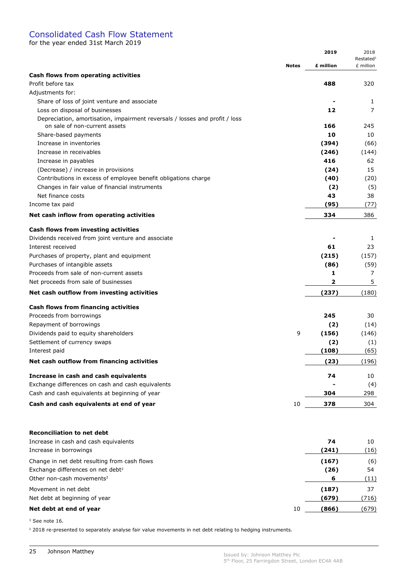# Consolidated Cash Flow Statement

for the year ended 31st March 2019

|                                                                             |              | 2019      | 2018                               |
|-----------------------------------------------------------------------------|--------------|-----------|------------------------------------|
|                                                                             | <b>Notes</b> | £ million | Restated <sup>1</sup><br>£ million |
| Cash flows from operating activities                                        |              |           |                                    |
| Profit before tax                                                           |              | 488       | 320                                |
| Adjustments for:                                                            |              |           |                                    |
| Share of loss of joint venture and associate                                |              |           | 1                                  |
| Loss on disposal of businesses                                              |              | 12        | 7                                  |
| Depreciation, amortisation, impairment reversals / losses and profit / loss |              |           |                                    |
| on sale of non-current assets                                               |              | 166       | 245                                |
| Share-based payments                                                        |              | 10        | 10                                 |
| Increase in inventories                                                     |              | (394)     | (66)                               |
| Increase in receivables                                                     |              | (246)     | (144)                              |
| Increase in payables                                                        |              | 416       | 62                                 |
| (Decrease) / increase in provisions                                         |              | (24)      | 15                                 |
| Contributions in excess of employee benefit obligations charge              |              | (40)      | (20)                               |
| Changes in fair value of financial instruments                              |              | (2)       | (5)                                |
| Net finance costs                                                           |              | 43        | 38                                 |
| Income tax paid                                                             |              | (95)      | (77)                               |
| Net cash inflow from operating activities                                   |              | 334       | 386                                |
| Cash flows from investing activities                                        |              |           |                                    |
| Dividends received from joint venture and associate                         |              |           | 1                                  |
| Interest received                                                           |              | 61        | 23                                 |
| Purchases of property, plant and equipment                                  |              | (215)     | (157)                              |
| Purchases of intangible assets                                              |              | (86)      | (59)                               |
| Proceeds from sale of non-current assets                                    |              | 1         | 7                                  |
| Net proceeds from sale of businesses                                        |              | 2         | 5                                  |
| Net cash outflow from investing activities                                  |              | (237)     | (180)                              |
| Cash flows from financing activities                                        |              |           |                                    |
| Proceeds from borrowings                                                    |              | 245       | 30                                 |
| Repayment of borrowings                                                     |              | (2)       | (14)                               |
| Dividends paid to equity shareholders                                       | 9            | (156)     | (146)                              |
| Settlement of currency swaps                                                |              | (2)       | (1)                                |
| Interest paid                                                               |              | (108)     | (65)                               |
| Net cash outflow from financing activities                                  |              | (23)      | (196)                              |
| Increase in cash and cash equivalents                                       |              | 74        | 10                                 |
| Exchange differences on cash and cash equivalents                           |              |           | (4)                                |
| Cash and cash equivalents at beginning of year                              |              | 304       | 298                                |
| Cash and cash equivalents at end of year                                    | 10           | 378       | 304                                |
|                                                                             |              |           |                                    |
| <b>Reconciliation to net debt</b>                                           |              |           |                                    |
| Increase in cash and cash equivalents                                       |              | 74        | 10                                 |
| Increase in borrowings                                                      |              | (241)     | (16)                               |
| Change in net debt resulting from cash flows                                |              | (167)     | (6)                                |
| Exchange differences on net debt <sup>2</sup>                               |              | (26)      | 54                                 |
| Other non-cash movements <sup>2</sup>                                       |              | 6         | (11)                               |
| Movement in net debt                                                        |              | (187)     | 37                                 |
| Net debt at beginning of year                                               |              | (679)     | (716)                              |
| Net debt at end of year                                                     | 10           | (866)     | (679)                              |
|                                                                             |              |           |                                    |

<sup>1</sup> See note 16.

<sup>2</sup> 2018 re-presented to separately analyse fair value movements in net debt relating to hedging instruments.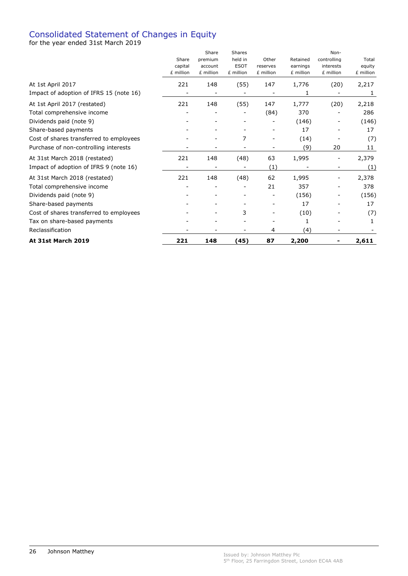# Consolidated Statement of Changes in Equity

for the year ended 31st March 2019

| <b>At 31st March 2019</b>               | 221       | 148              | (45)                     | 87        | 2,200     |                     | 2,611     |
|-----------------------------------------|-----------|------------------|--------------------------|-----------|-----------|---------------------|-----------|
| Reclassification                        |           |                  |                          | 4         | (4)       |                     |           |
| Tax on share-based payments             |           |                  |                          |           | 1         |                     | 1.        |
| Cost of shares transferred to employees |           |                  | 3                        |           | (10)      |                     | (7)       |
| Share-based payments                    |           |                  |                          |           | 17        |                     | 17        |
| Dividends paid (note 9)                 |           |                  |                          |           | (156)     |                     | (156)     |
| Total comprehensive income              |           |                  |                          | 21        | 357       |                     | 378       |
| At 31st March 2018 (restated)           | 221       | 148              | (48)                     | 62        | 1,995     |                     | 2,378     |
| Impact of adoption of IFRS 9 (note 16)  |           |                  |                          | (1)       |           |                     | (1)       |
| At 31st March 2018 (restated)           | 221       | 148              | (48)                     | 63        | 1,995     |                     | 2,379     |
| Purchase of non-controlling interests   |           |                  |                          |           | (9)       | 20                  | 11        |
| Cost of shares transferred to employees |           |                  | 7                        |           | (14)      |                     | (7)       |
| Share-based payments                    |           |                  |                          |           | 17        |                     | 17        |
| Dividends paid (note 9)                 |           |                  |                          |           | (146)     |                     | (146)     |
| Total comprehensive income              |           |                  |                          | (84)      | 370       |                     | 286       |
| At 1st April 2017 (restated)            | 221       | 148              | (55)                     | 147       | 1,777     | (20)                | 2,218     |
| Impact of adoption of IFRS 15 (note 16) |           |                  |                          |           |           |                     | 1         |
| At 1st April 2017                       | 221       | 148              | (55)                     | 147       | 1,776     | (20)                | 2,217     |
|                                         | £ million | £ million        | £ million                | £ million | £ million | £ million           | £ million |
|                                         | capital   | account          | <b>ESOT</b>              | reserves  | earnings  | interests           | equity    |
|                                         | Share     | Share<br>premium | <b>Shares</b><br>held in | Other     | Retained  | Non-<br>controlling | Total     |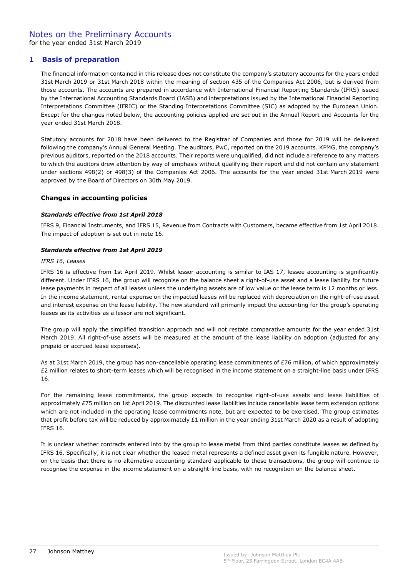# 1 Basis of preparation

The financial information contained in this release does not constitute the company's statutory accounts for the years ended 31st March 2019 or 31st March 2018 within the meaning of section 435 of the Companies Act 2006, but is derived from those accounts. The accounts are prepared in accordance with International Financial Reporting Standards (IFRS) issued by the International Accounting Standards Board (IASB) and interpretations issued by the International Financial Reporting Interpretations Committee (IFRIC) or the Standing Interpretations Committee (SIC) as adopted by the European Union. Except for the changes noted below, the accounting policies applied are set out in the Annual Report and Accounts for the year ended 31st March 2018.

Statutory accounts for 2018 have been delivered to the Registrar of Companies and those for 2019 will be delivered following the company's Annual General Meeting. The auditors, PwC, reported on the 2019 accounts. KPMG, the company's previous auditors, reported on the 2018 accounts. Their reports were unqualified, did not include a reference to any matters to which the auditors drew attention by way of emphasis without qualifying their report and did not contain any statement under sections 498(2) or 498(3) of the Companies Act 2006. The accounts for the year ended 31st March 2019 were approved by the Board of Directors on 30th May 2019.

## Changes in accounting policies

## Standards effective from 1st April 2018

IFRS 9, Financial Instruments, and IFRS 15, Revenue from Contracts with Customers, became effective from 1st April 2018. The impact of adoption is set out in note 16.

## Standards effective from 1st April 2019

#### IFRS 16, Leases

IFRS 16 is effective from 1st April 2019. Whilst lessor accounting is similar to IAS 17, lessee accounting is significantly different. Under IFRS 16, the group will recognise on the balance sheet a right-of-use asset and a lease liability for future lease payments in respect of all leases unless the underlying assets are of low value or the lease term is 12 months or less. In the income statement, rental expense on the impacted leases will be replaced with depreciation on the right-of-use asset and interest expense on the lease liability. The new standard will primarily impact the accounting for the group's operating leases as its activities as a lessor are not significant.

The group will apply the simplified transition approach and will not restate comparative amounts for the year ended 31st March 2019. All right-of-use assets will be measured at the amount of the lease liability on adoption (adjusted for any prepaid or accrued lease expenses).

As at 31st March 2019, the group has non-cancellable operating lease commitments of £76 million, of which approximately £2 million relates to short-term leases which will be recognised in the income statement on a straight-line basis under IFRS 16.

For the remaining lease commitments, the group expects to recognise right-of-use assets and lease liabilities of approximately £75 million on 1st April 2019. The discounted lease liabilities include cancellable lease term extension options which are not included in the operating lease commitments note, but are expected to be exercised. The group estimates that profit before tax will be reduced by approximately £1 million in the year ending 31st March 2020 as a result of adopting IFRS 16.

It is unclear whether contracts entered into by the group to lease metal from third parties constitute leases as defined by IFRS 16. Specifically, it is not clear whether the leased metal represents a defined asset given its fungible nature. However, on the basis that there is no alternative accounting standard applicable to these transactions, the group will continue to recognise the expense in the income statement on a straight-line basis, with no recognition on the balance sheet.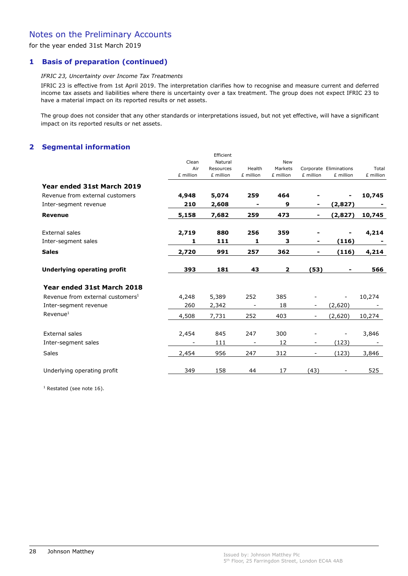# Notes on the Preliminary Accounts

for the year ended 31st March 2019

# 1 Basis of preparation (continued)

## IFRIC 23, Uncertainty over Income Tax Treatments

IFRIC 23 is effective from 1st April 2019. The interpretation clarifies how to recognise and measure current and deferred income tax assets and liabilities where there is uncertainty over a tax treatment. The group does not expect IFRIC 23 to have a material impact on its reported results or net assets.

The group does not consider that any other standards or interpretations issued, but not yet effective, will have a significant impact on its reported results or net assets.

# 2 Segmental information

|                                              | Clean<br>Air<br>£ million | Efficient<br>Natural<br>Resources<br>£ million | Health<br>£ million | <b>New</b><br>Markets<br>£ million | £ million | Corporate Eliminations<br>£ million | Total<br>£ million |
|----------------------------------------------|---------------------------|------------------------------------------------|---------------------|------------------------------------|-----------|-------------------------------------|--------------------|
| Year ended 31st March 2019                   |                           |                                                |                     |                                    |           |                                     |                    |
| Revenue from external customers              | 4,948                     | 5,074                                          | 259                 | 464                                |           |                                     | 10,745             |
| Inter-segment revenue                        | 210                       | 2,608                                          |                     | 9                                  |           | (2,827)                             |                    |
| Revenue                                      | 5,158                     | 7,682                                          | 259                 | 473                                |           | (2,827)                             | 10,745             |
| External sales                               | 2,719                     | 880                                            | 256                 | 359                                |           |                                     | 4,214              |
| Inter-segment sales                          | 1                         | 111                                            | 1                   | 3                                  |           | (116)                               |                    |
| <b>Sales</b>                                 | 2,720                     | 991                                            | 257                 | 362                                |           | (116)                               | 4,214              |
| Underlying operating profit                  | 393                       | 181                                            | 43                  | 2                                  | (53)      |                                     | 566                |
| Year ended 31st March 2018                   |                           |                                                |                     |                                    |           |                                     |                    |
| Revenue from external customers <sup>1</sup> | 4,248                     | 5,389                                          | 252                 | 385                                |           |                                     | 10,274             |
| Inter-segment revenue                        | 260                       | 2,342                                          |                     | 18                                 |           | (2,620)                             |                    |
| Revenue <sup>1</sup>                         | 4,508                     | 7,731                                          | 252                 | 403                                |           | (2,620)                             | 10,274             |
| <b>External sales</b>                        | 2,454                     | 845                                            | 247                 | 300                                |           |                                     | 3,846              |
| Inter-segment sales                          |                           | 111                                            |                     | 12                                 |           | (123)                               |                    |
|                                              |                           |                                                |                     |                                    |           |                                     |                    |
| <b>Sales</b>                                 | 2,454                     | 956                                            | 247                 | 312                                |           | (123)                               | 3,846              |

<sup>1</sup> Restated (see note 16).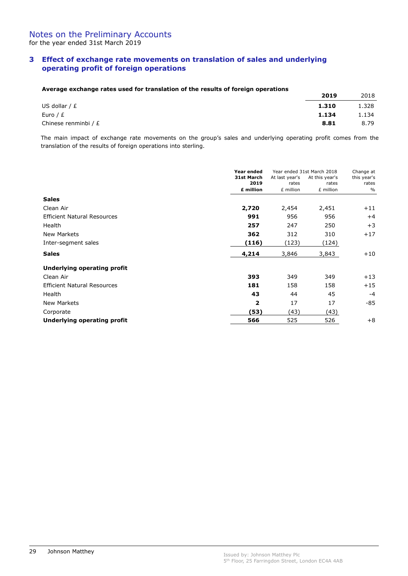# 3 Effect of exchange rate movements on translation of sales and underlying operating profit of foreign operations

## Average exchange rates used for translation of the results of foreign operations

|                      | 2019  | 2018  |
|----------------------|-------|-------|
| US dollar / $E$      | 1.310 | 1.328 |
| Euro / $E$           | 1.134 | 1.134 |
| Chinese renminbi / £ | 8.81  | 8.79  |

The main impact of exchange rate movements on the group's sales and underlying operating profit comes from the translation of the results of foreign operations into sterling.

|                                    | Year ended<br><b>31st March</b><br>2019<br>£ million | At last year's<br>rates<br>£ million | Year ended 31st March 2018<br>At this year's<br>rates<br>£ million | Change at<br>this year's<br>rates<br>$\frac{0}{0}$ |
|------------------------------------|------------------------------------------------------|--------------------------------------|--------------------------------------------------------------------|----------------------------------------------------|
| <b>Sales</b>                       |                                                      |                                      |                                                                    |                                                    |
| Clean Air                          | 2,720                                                | 2,454                                | 2,451                                                              | $+11$                                              |
| <b>Efficient Natural Resources</b> | 991                                                  | 956                                  | 956                                                                | $+4$                                               |
| Health                             | 257                                                  | 247                                  | 250                                                                | $+3$                                               |
| <b>New Markets</b>                 | 362                                                  | 312                                  | 310                                                                | $+17$                                              |
| Inter-segment sales                | (116)                                                | (123)                                | (124)                                                              |                                                    |
| <b>Sales</b>                       | 4,214                                                | 3,846                                | 3,843                                                              | $+10$                                              |
| Underlying operating profit        |                                                      |                                      |                                                                    |                                                    |
| Clean Air                          | 393                                                  | 349                                  | 349                                                                | $+13$                                              |
| <b>Efficient Natural Resources</b> | 181                                                  | 158                                  | 158                                                                | $+15$                                              |
| Health                             | 43                                                   | 44                                   | 45                                                                 | $-4$                                               |
| <b>New Markets</b>                 | 2                                                    | 17                                   | 17                                                                 | -85                                                |
| Corporate                          | 〔53〕                                                 | (43)                                 | (43)                                                               |                                                    |
| Underlying operating profit        | 566                                                  | 525                                  | 526                                                                | $+8$                                               |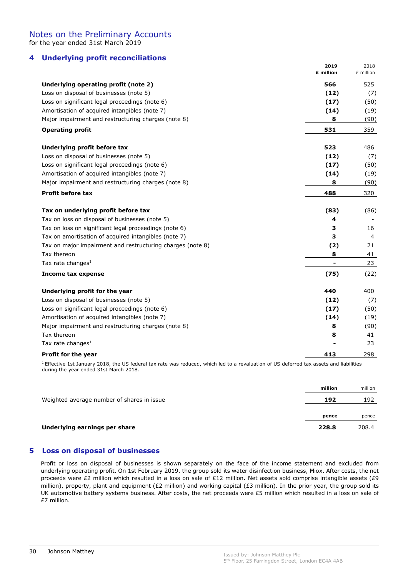# Notes on the Preliminary Accounts for the year ended 31st March 2019

# 4 Underlying profit reconciliations

|                                                            | 2019<br>£ million | 2018<br>£ million |
|------------------------------------------------------------|-------------------|-------------------|
| Underlying operating profit (note 2)                       | 566               | 525               |
| Loss on disposal of businesses (note 5)                    | (12)              | (7)               |
| Loss on significant legal proceedings (note 6)             | (17)              | (50)              |
| Amortisation of acquired intangibles (note 7)              | (14)              | (19)              |
| Major impairment and restructuring charges (note 8)        | 8                 | (90)              |
| <b>Operating profit</b>                                    | 531               | 359               |
| Underlying profit before tax                               | 523               | 486               |
| Loss on disposal of businesses (note 5)                    | (12)              | (7)               |
| Loss on significant legal proceedings (note 6)             | (17)              | (50)              |
| Amortisation of acquired intangibles (note 7)              | (14)              | (19)              |
| Major impairment and restructuring charges (note 8)        | 8                 | (90)              |
| <b>Profit before tax</b>                                   | 488               | 320               |
| Tax on underlying profit before tax                        | (83)              | (86)              |
| Tax on loss on disposal of businesses (note 5)             | 4                 |                   |
| Tax on loss on significant legal proceedings (note 6)      | 3                 | 16                |
| Tax on amortisation of acquired intangibles (note 7)       | 3                 | $\overline{4}$    |
| Tax on major impairment and restructuring charges (note 8) | (2)               | 21                |
| Tax thereon                                                | 8                 | 41                |
| Tax rate changes <sup>1</sup>                              |                   | 23                |
| Income tax expense                                         | (75)              | (22)              |
| Underlying profit for the year                             | 440               | 400               |
| Loss on disposal of businesses (note 5)                    | (12)              | (7)               |
| Loss on significant legal proceedings (note 6)             | (17)              | (50)              |
| Amortisation of acquired intangibles (note 7)              | (14)              | (19)              |
| Major impairment and restructuring charges (note 8)        | 8                 | (90)              |
| Tax thereon                                                | 8                 | 41                |
| Tax rate changes <sup>1</sup>                              |                   | 23                |
| Profit for the year                                        | 413               | 298               |

 $1$  Effective 1st January 2018, the US federal tax rate was reduced, which led to a revaluation of US deferred tax assets and liabilities during the year ended 31st March 2018.

|                                            | million | million |
|--------------------------------------------|---------|---------|
| Weighted average number of shares in issue | 192     | 192     |
|                                            |         |         |
|                                            | pence   | pence   |
| Underlying earnings per share              | 228.8   | 208.4   |

# 5 Loss on disposal of businesses

Profit or loss on disposal of businesses is shown separately on the face of the income statement and excluded from underlying operating profit. On 1st February 2019, the group sold its water disinfection business, Miox. After costs, the net proceeds were £2 million which resulted in a loss on sale of £12 million. Net assets sold comprise intangible assets (£9 million), property, plant and equipment (£2 million) and working capital (£3 million). In the prior year, the group sold its UK automotive battery systems business. After costs, the net proceeds were £5 million which resulted in a loss on sale of £7 million.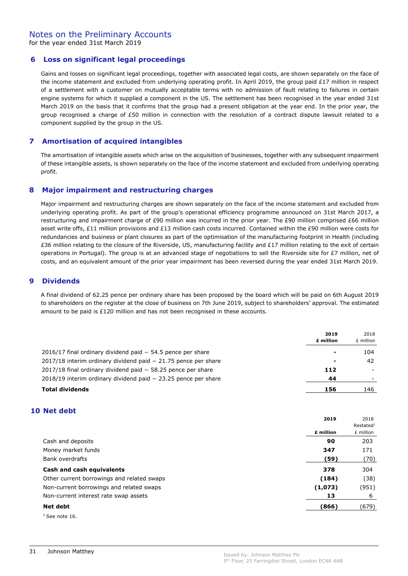for the year ended 31st March 2019

# 6 Loss on significant legal proceedings

Gains and losses on significant legal proceedings, together with associated legal costs, are shown separately on the face of the income statement and excluded from underlying operating profit. In April 2019, the group paid £17 million in respect of a settlement with a customer on mutually acceptable terms with no admission of fault relating to failures in certain engine systems for which it supplied a component in the US. The settlement has been recognised in the year ended 31st March 2019 on the basis that it confirms that the group had a present obligation at the year end. In the prior year, the group recognised a charge of £50 million in connection with the resolution of a contract dispute lawsuit related to a component supplied by the group in the US.

## 7 Amortisation of acquired intangibles

The amortisation of intangible assets which arise on the acquisition of businesses, together with any subsequent impairment of these intangible assets, is shown separately on the face of the income statement and excluded from underlying operating profit.

## 8 Major impairment and restructuring charges

Major impairment and restructuring charges are shown separately on the face of the income statement and excluded from underlying operating profit. As part of the group's operational efficiency programme announced on 31st March 2017, a restructuring and impairment charge of £90 million was incurred in the prior year. The £90 million comprised £66 million asset write offs, £11 million provisions and £13 million cash costs incurred. Contained within the £90 million were costs for redundancies and business or plant closures as part of the optimisation of the manufacturing footprint in Health (including £36 million relating to the closure of the Riverside, US, manufacturing facility and £17 million relating to the exit of certain operations in Portugal). The group is at an advanced stage of negotiations to sell the Riverside site for  $E7$  million, net of costs, and an equivalent amount of the prior year impairment has been reversed during the year ended 31st March 2019.

## 9 Dividends

A final dividend of 62.25 pence per ordinary share has been proposed by the board which will be paid on 6th August 2019 to shareholders on the register at the close of business on 7th June 2019, subject to shareholders' approval. The estimated amount to be paid is £120 million and has not been recognised in these accounts.

|                                                                   | 2019<br>£ million        | 2018<br>£ million |
|-------------------------------------------------------------------|--------------------------|-------------------|
| 2016/17 final ordinary dividend paid $-54.5$ pence per share      | $\overline{\phantom{0}}$ | 104               |
| $2017/18$ interim ordinary dividend paid $-21.75$ pence per share | $\overline{\phantom{0}}$ | 42                |
| $2017/18$ final ordinary dividend paid $-58.25$ pence per share   | 112                      |                   |
| $2018/19$ interim ordinary dividend paid $-23.25$ pence per share | 44                       |                   |
| <b>Total dividends</b>                                            | 156                      | 146               |

# 10 Net debt

|                                            | 2019      | 2018                  |
|--------------------------------------------|-----------|-----------------------|
|                                            |           | Restated <sup>1</sup> |
|                                            | £ million | £ million             |
| Cash and deposits                          | 90        | 203                   |
| Money market funds                         | 347       | 171                   |
| Bank overdrafts                            | (59)      | (70)                  |
| Cash and cash equivalents                  | 378       | 304                   |
| Other current borrowings and related swaps | (184)     | (38)                  |
| Non-current borrowings and related swaps   | (1,073)   | (951)                 |
| Non-current interest rate swap assets      | 13        | 6                     |
| Net debt                                   | (866)     | (679)                 |

 $1$  See note 16.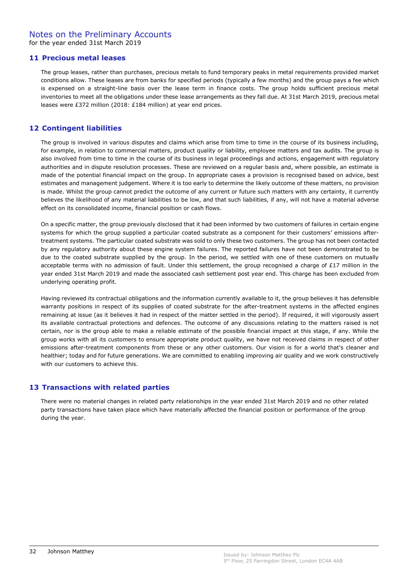# Notes on the Preliminary Accounts

for the year ended 31st March 2019

# 11 Precious metal leases

The group leases, rather than purchases, precious metals to fund temporary peaks in metal requirements provided market conditions allow. These leases are from banks for specified periods (typically a few months) and the group pays a fee which is expensed on a straight-line basis over the lease term in finance costs. The group holds sufficient precious metal inventories to meet all the obligations under these lease arrangements as they fall due. At 31st March 2019, precious metal leases were £372 million (2018: £184 million) at year end prices.

# 12 Contingent liabilities

The group is involved in various disputes and claims which arise from time to time in the course of its business including, for example, in relation to commercial matters, product quality or liability, employee matters and tax audits. The group is also involved from time to time in the course of its business in legal proceedings and actions, engagement with regulatory authorities and in dispute resolution processes. These are reviewed on a regular basis and, where possible, an estimate is made of the potential financial impact on the group. In appropriate cases a provision is recognised based on advice, best estimates and management judgement. Where it is too early to determine the likely outcome of these matters, no provision is made. Whilst the group cannot predict the outcome of any current or future such matters with any certainty, it currently believes the likelihood of any material liabilities to be low, and that such liabilities, if any, will not have a material adverse effect on its consolidated income, financial position or cash flows.

On a specific matter, the group previously disclosed that it had been informed by two customers of failures in certain engine systems for which the group supplied a particular coated substrate as a component for their customers' emissions aftertreatment systems. The particular coated substrate was sold to only these two customers. The group has not been contacted by any regulatory authority about these engine system failures. The reported failures have not been demonstrated to be due to the coated substrate supplied by the group. In the period, we settled with one of these customers on mutually acceptable terms with no admission of fault. Under this settlement, the group recognised a charge of £17 million in the year ended 31st March 2019 and made the associated cash settlement post year end. This charge has been excluded from underlying operating profit.

Having reviewed its contractual obligations and the information currently available to it, the group believes it has defensible warranty positions in respect of its supplies of coated substrate for the after-treatment systems in the affected engines remaining at issue (as it believes it had in respect of the matter settled in the period). If required, it will vigorously assert its available contractual protections and defences. The outcome of any discussions relating to the matters raised is not certain, nor is the group able to make a reliable estimate of the possible financial impact at this stage, if any. While the group works with all its customers to ensure appropriate product quality, we have not received claims in respect of other emissions after-treatment components from these or any other customers. Our vision is for a world that's cleaner and healthier; today and for future generations. We are committed to enabling improving air quality and we work constructively with our customers to achieve this.

# 13 Transactions with related parties

There were no material changes in related party relationships in the year ended 31st March 2019 and no other related party transactions have taken place which have materially affected the financial position or performance of the group during the year.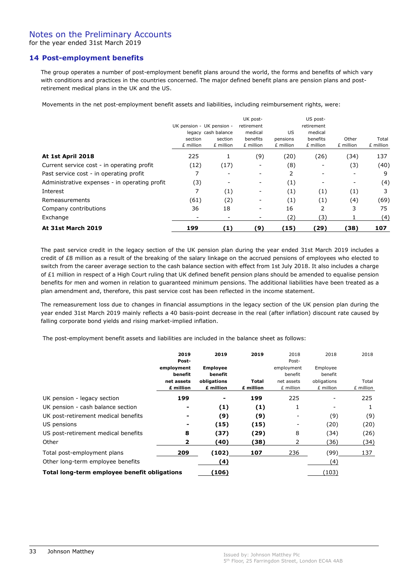# Notes on the Preliminary Accounts

for the year ended 31st March 2019

# 14 Post-employment benefits

The group operates a number of post-employment benefit plans around the world, the forms and benefits of which vary with conditions and practices in the countries concerned. The major defined benefit plans are pension plans and postretirement medical plans in the UK and the US.

Movements in the net post-employment benefit assets and liabilities, including reimbursement rights, were:

| <b>At 31st March 2019</b>                     | 199                                               | (1)                                         | (9)                                                        | (15)                         | (29)                                                       | ั38)               | 107                |
|-----------------------------------------------|---------------------------------------------------|---------------------------------------------|------------------------------------------------------------|------------------------------|------------------------------------------------------------|--------------------|--------------------|
| Exchange                                      | -                                                 |                                             |                                                            | (2)                          | (3)                                                        |                    | (4)                |
| Company contributions                         | 36                                                | 18                                          | ۰                                                          | 16                           | 2                                                          | 3                  | 75                 |
| Remeasurements                                | (61)                                              | (2)                                         |                                                            | (1)                          | (1)                                                        | (4)                | (69)               |
| Interest                                      |                                                   | (1)                                         |                                                            | (1)                          | (1)                                                        | (1)                | 3                  |
| Administrative expenses - in operating profit | (3)                                               |                                             | Ξ.                                                         | (1)                          |                                                            |                    | (4)                |
| Past service cost - in operating profit       |                                                   |                                             |                                                            | 2                            |                                                            |                    | 9                  |
| Current service cost - in operating profit    | (12)                                              | (17)                                        | -                                                          | (8)                          | -                                                          | (3)                | (40)               |
| At 1st April 2018                             | 225                                               |                                             | (9)                                                        | (20)                         | (26)                                                       | (34)               | 137                |
|                                               | UK pension - UK pension -<br>section<br>£ million | legacy cash balance<br>section<br>£ million | UK post-<br>retirement<br>medical<br>benefits<br>£ million | US.<br>pensions<br>£ million | US post-<br>retirement<br>medical<br>benefits<br>£ million | Other<br>£ million | Total<br>£ million |

The past service credit in the legacy section of the UK pension plan during the year ended 31st March 2019 includes a credit of £8 million as a result of the breaking of the salary linkage on the accrued pensions of employees who elected to switch from the career average section to the cash balance section with effect from 1st July 2018. It also includes a charge of £1 million in respect of a High Court ruling that UK defined benefit pension plans should be amended to equalise pension benefits for men and women in relation to guaranteed minimum pensions. The additional liabilities have been treated as a plan amendment and, therefore, this past service cost has been reflected in the income statement.

The remeasurement loss due to changes in financial assumptions in the legacy section of the UK pension plan during the year ended 31st March 2019 mainly reflects a 40 basis-point decrease in the real (after inflation) discount rate caused by falling corporate bond yields and rising market-implied inflation.

The post-employment benefit assets and liabilities are included in the balance sheet as follows:

|                                              | 2019<br>Post- | 2019            | 2019         | 2018<br>Post- | 2018        | 2018      |
|----------------------------------------------|---------------|-----------------|--------------|---------------|-------------|-----------|
|                                              | employment    | <b>Employee</b> |              | employment    | Employee    |           |
|                                              | benefit       | benefit         |              | benefit       | benefit     |           |
|                                              | net assets    | obligations     | <b>Total</b> | net assets    | obligations | Total     |
|                                              | £ million     | £ million       | £ million    | £ million     | £ million   | £ million |
| UK pension - legacy section                  | 199           |                 | 199          | 225           |             | 225       |
| UK pension - cash balance section            |               | (1)             | (1)          | 1             |             |           |
| UK post-retirement medical benefits          |               | (9)             | (9)          |               | (9)         | (9)       |
| US pensions                                  |               | (15)            | (15)         |               | (20)        | (20)      |
| US post-retirement medical benefits          | 8             | (37)            | (29)         | 8             | (34)        | (26)      |
| Other                                        | 2             | (40)            | (38)         |               | (36)        | (34)      |
| Total post-employment plans                  | 209           | (102)           | 107          | 236           | (99)        | 137       |
| Other long-term employee benefits            |               | (4)             |              |               | (4)         |           |
| Total long-term employee benefit obligations |               | (106)           |              |               | (103)       |           |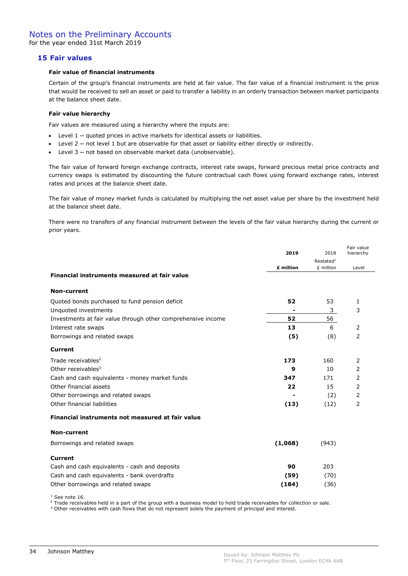# 15 Fair values

#### Fair value of financial instruments

Certain of the group's financial instruments are held at fair value. The fair value of a financial instrument is the price that would be received to sell an asset or paid to transfer a liability in an orderly transaction between market participants at the balance sheet date.

#### Fair value hierarchy

Fair values are measured using a hierarchy where the inputs are:

- Level 1 ─ quoted prices in active markets for identical assets or liabilities.
- Level 2 not level 1 but are observable for that asset or liability either directly or indirectly.
- Level 3 not based on observable market data (unobservable).

The fair value of forward foreign exchange contracts, interest rate swaps, forward precious metal price contracts and currency swaps is estimated by discounting the future contractual cash flows using forward exchange rates, interest rates and prices at the balance sheet date.

The fair value of money market funds is calculated by multiplying the net asset value per share by the investment held at the balance sheet date.

There were no transfers of any financial instrument between the levels of the fair value hierarchy during the current or prior years.

|                                                              | 2019      | 2018                               | Fair value<br>hierarchy |
|--------------------------------------------------------------|-----------|------------------------------------|-------------------------|
|                                                              | £ million | Restated <sup>1</sup><br>£ million | Level                   |
| Financial instruments measured at fair value                 |           |                                    |                         |
| <b>Non-current</b>                                           |           |                                    |                         |
| Quoted bonds purchased to fund pension deficit               | 52        | 53                                 | 1                       |
| Unquoted investments                                         |           | 3                                  | 3                       |
| Investments at fair value through other comprehensive income | 52        | 56                                 |                         |
| Interest rate swaps                                          | 13        | 6                                  | 2                       |
| Borrowings and related swaps                                 | (5)       | (8)                                | 2                       |
| Current                                                      |           |                                    |                         |
| Trade receivables <sup>2</sup>                               | 173       | 160                                | 2                       |
| Other receivables <sup>3</sup>                               | 9         | 10                                 | 2                       |
| Cash and cash equivalents - money market funds               | 347       | 171                                | 2                       |
| Other financial assets                                       | 22        | 15                                 | 2                       |
| Other borrowings and related swaps                           |           | (2)                                | 2                       |
| Other financial liabilities                                  | (13)      | (12)                               | 2                       |
| Financial instruments not measured at fair value             |           |                                    |                         |
| <b>Non-current</b>                                           |           |                                    |                         |
| Borrowings and related swaps                                 | (1,068)   | (943)                              |                         |
| <b>Current</b>                                               |           |                                    |                         |
| Cash and cash equivalents - cash and deposits                | 90        | 203                                |                         |
| Cash and cash equivalents - bank overdrafts                  | (59)      | (70)                               |                         |
| Other borrowings and related swaps                           | (184)     | (36)                               |                         |

1 See note 16.

 $2$  Trade receivables held in a part of the group with a business model to hold trade receivables for collection or sale.

<sup>3</sup> Other receivables with cash flows that do not represent solely the payment of principal and interest.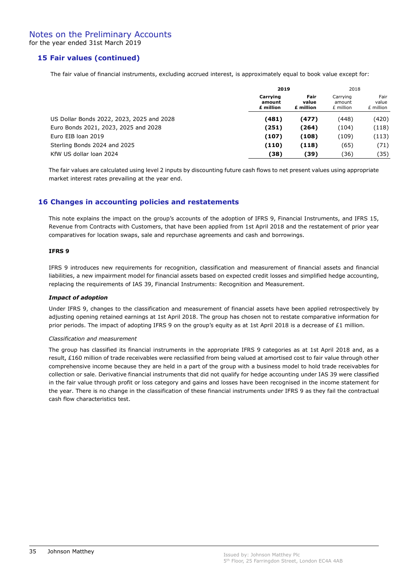# 15 Fair values (continued)

The fair value of financial instruments, excluding accrued interest, is approximately equal to book value except for:

|                                           | 2019                            |                            | 2018                            |                            |
|-------------------------------------------|---------------------------------|----------------------------|---------------------------------|----------------------------|
|                                           | Carrying<br>amount<br>£ million | Fair<br>value<br>£ million | Carrying<br>amount<br>£ million | Fair<br>value<br>£ million |
| US Dollar Bonds 2022, 2023, 2025 and 2028 | (481)                           | (477)                      | (448)                           | (420)                      |
| Euro Bonds 2021, 2023, 2025 and 2028      | (251)                           | (264)                      | (104)                           | (118)                      |
| Euro EIB loan 2019                        | (107)                           | (108)                      | (109)                           | (113)                      |
| Sterling Bonds 2024 and 2025              | (110)                           | (118)                      | (65)                            | (71)                       |
| KfW US dollar loan 2024                   | (38)                            | (39)                       | (36)                            | (35)                       |

The fair values are calculated using level 2 inputs by discounting future cash flows to net present values using appropriate market interest rates prevailing at the year end.

# 16 Changes in accounting policies and restatements

This note explains the impact on the group's accounts of the adoption of IFRS 9, Financial Instruments, and IFRS 15, Revenue from Contracts with Customers, that have been applied from 1st April 2018 and the restatement of prior year comparatives for location swaps, sale and repurchase agreements and cash and borrowings.

## IFRS 9

IFRS 9 introduces new requirements for recognition, classification and measurement of financial assets and financial liabilities, a new impairment model for financial assets based on expected credit losses and simplified hedge accounting, replacing the requirements of IAS 39, Financial Instruments: Recognition and Measurement.

## Impact of adoption

Under IFRS 9, changes to the classification and measurement of financial assets have been applied retrospectively by adjusting opening retained earnings at 1st April 2018. The group has chosen not to restate comparative information for prior periods. The impact of adopting IFRS 9 on the group's equity as at 1st April 2018 is a decrease of £1 million.

#### Classification and measurement

The group has classified its financial instruments in the appropriate IFRS 9 categories as at 1st April 2018 and, as a result, £160 million of trade receivables were reclassified from being valued at amortised cost to fair value through other comprehensive income because they are held in a part of the group with a business model to hold trade receivables for collection or sale. Derivative financial instruments that did not qualify for hedge accounting under IAS 39 were classified in the fair value through profit or loss category and gains and losses have been recognised in the income statement for the year. There is no change in the classification of these financial instruments under IFRS 9 as they fail the contractual cash flow characteristics test.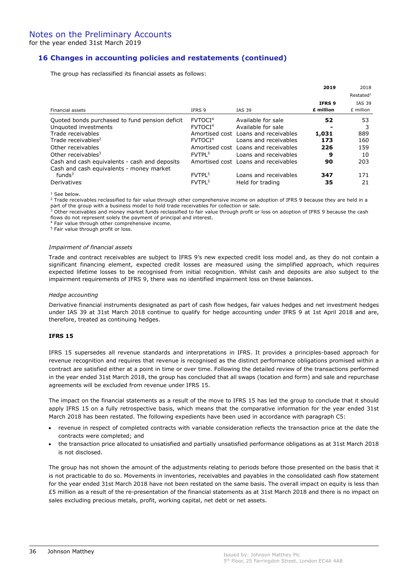# for the year ended 31st March 2019

# 16 Changes in accounting policies and restatements (continued)

The group has reclassified its financial assets as follows:

|                                                |                     |                                      | 2019      | 2018                  |
|------------------------------------------------|---------------------|--------------------------------------|-----------|-----------------------|
|                                                |                     |                                      |           | Restated <sup>1</sup> |
|                                                |                     |                                      | IFRS 9    | <b>IAS 39</b>         |
| Financial assets                               | IFRS 9              | <b>IAS 39</b>                        | £ million | £ million             |
| Quoted bonds purchased to fund pension deficit | <b>FVTOCI4</b>      | Available for sale                   | 52        | 53                    |
| Unquoted investments                           | FVTOCI <sup>4</sup> | Available for sale                   |           |                       |
| Trade receivables                              |                     | Amortised cost Loans and receivables | 1,031     | 889                   |
| Trade receivables <sup>2</sup>                 | FVTOCI <sup>4</sup> | Loans and receivables                | 173       | 160                   |
| Other receivables                              |                     | Amortised cost Loans and receivables | 226       | 159                   |
| Other receivables <sup>3</sup>                 | FVTPI <sup>5</sup>  | Loans and receivables                | 9         | 10                    |
| Cash and cash equivalents - cash and deposits  |                     | Amortised cost Loans and receivables | 90        | 203                   |
| Cash and cash equivalents - money market       |                     |                                      |           |                       |
| funds <sup>3</sup>                             | FVTPL <sup>5</sup>  | Loans and receivables                | 347       | 171                   |
| Derivatives                                    | FVTPL <sup>5</sup>  | Held for trading                     | 35        | 21                    |

<sup>1</sup> See below.

 $^2$  Trade receivables reclassified to fair value through other comprehensive income on adoption of IFRS 9 because they are held in a part of the group with a business model to hold trade receivables for collection or sale.<br><sup>3</sup> Other receivables and money market funds reclassified to fair value through profit or loss on adoption of IFRS 9 because the cas

flows do not represent solely the payment of principal and interest.

4 Fair value through other comprehensive income.

<sup>5</sup> Fair value through profit or loss.

#### Impairment of financial assets

Trade and contract receivables are subject to IFRS 9's new expected credit loss model and, as they do not contain a significant financing element, expected credit losses are measured using the simplified approach, which requires expected lifetime losses to be recognised from initial recognition. Whilst cash and deposits are also subject to the impairment requirements of IFRS 9, there was no identified impairment loss on these balances.

#### Hedge accounting

Derivative financial instruments designated as part of cash flow hedges, fair values hedges and net investment hedges under IAS 39 at 31st March 2018 continue to qualify for hedge accounting under IFRS 9 at 1st April 2018 and are, therefore, treated as continuing hedges.

#### IFRS 15

IFRS 15 supersedes all revenue standards and interpretations in IFRS. It provides a principles-based approach for revenue recognition and requires that revenue is recognised as the distinct performance obligations promised within a contract are satisfied either at a point in time or over time. Following the detailed review of the transactions performed in the year ended 31st March 2018, the group has concluded that all swaps (location and form) and sale and repurchase agreements will be excluded from revenue under IFRS 15.

The impact on the financial statements as a result of the move to IFRS 15 has led the group to conclude that it should apply IFRS 15 on a fully retrospective basis, which means that the comparative information for the year ended 31st March 2018 has been restated. The following expedients have been used in accordance with paragraph C5:

- revenue in respect of completed contracts with variable consideration reflects the transaction price at the date the contracts were completed; and
- the transaction price allocated to unsatisfied and partially unsatisfied performance obligations as at 31st March 2018 is not disclosed.

The group has not shown the amount of the adjustments relating to periods before those presented on the basis that it is not practicable to do so. Movements in inventories, receivables and payables in the consolidated cash flow statement for the year ended 31st March 2018 have not been restated on the same basis. The overall impact on equity is less than £5 million as a result of the re-presentation of the financial statements as at 31st March 2018 and there is no impact on sales excluding precious metals, profit, working capital, net debt or net assets.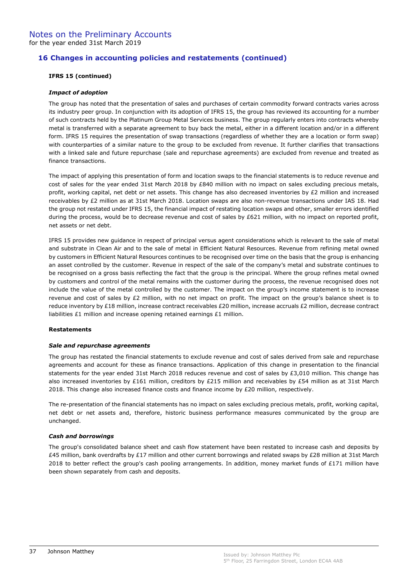# 16 Changes in accounting policies and restatements (continued)

## IFRS 15 (continued)

## Impact of adoption

The group has noted that the presentation of sales and purchases of certain commodity forward contracts varies across its industry peer group. In conjunction with its adoption of IFRS 15, the group has reviewed its accounting for a number of such contracts held by the Platinum Group Metal Services business. The group regularly enters into contracts whereby metal is transferred with a separate agreement to buy back the metal, either in a different location and/or in a different form. IFRS 15 requires the presentation of swap transactions (regardless of whether they are a location or form swap) with counterparties of a similar nature to the group to be excluded from revenue. It further clarifies that transactions with a linked sale and future repurchase (sale and repurchase agreements) are excluded from revenue and treated as finance transactions.

The impact of applying this presentation of form and location swaps to the financial statements is to reduce revenue and cost of sales for the year ended 31st March 2018 by £840 million with no impact on sales excluding precious metals, profit, working capital, net debt or net assets. This change has also decreased inventories by £2 million and increased receivables by £2 million as at 31st March 2018. Location swaps are also non-revenue transactions under IAS 18. Had the group not restated under IFRS 15, the financial impact of restating location swaps and other, smaller errors identified during the process, would be to decrease revenue and cost of sales by £621 million, with no impact on reported profit, net assets or net debt.

IFRS 15 provides new guidance in respect of principal versus agent considerations which is relevant to the sale of metal and substrate in Clean Air and to the sale of metal in Efficient Natural Resources. Revenue from refining metal owned by customers in Efficient Natural Resources continues to be recognised over time on the basis that the group is enhancing an asset controlled by the customer. Revenue in respect of the sale of the company's metal and substrate continues to be recognised on a gross basis reflecting the fact that the group is the principal. Where the group refines metal owned by customers and control of the metal remains with the customer during the process, the revenue recognised does not include the value of the metal controlled by the customer. The impact on the group's income statement is to increase revenue and cost of sales by £2 million, with no net impact on profit. The impact on the group's balance sheet is to reduce inventory by £18 million, increase contract receivables £20 million, increase accruals £2 million, decrease contract liabilities £1 million and increase opening retained earnings £1 million.

#### Restatements

#### Sale and repurchase agreements

The group has restated the financial statements to exclude revenue and cost of sales derived from sale and repurchase agreements and account for these as finance transactions. Application of this change in presentation to the financial statements for the year ended 31st March 2018 reduces revenue and cost of sales by £3,010 million. This change has also increased inventories by £161 million, creditors by £215 million and receivables by £54 million as at 31st March 2018. This change also increased finance costs and finance income by  $E20$  million, respectively.

The re-presentation of the financial statements has no impact on sales excluding precious metals, profit, working capital, net debt or net assets and, therefore, historic business performance measures communicated by the group are unchanged.

#### Cash and borrowings

The group's consolidated balance sheet and cash flow statement have been restated to increase cash and deposits by £45 million, bank overdrafts by £17 million and other current borrowings and related swaps by £28 million at 31st March 2018 to better reflect the group's cash pooling arrangements. In addition, money market funds of £171 million have been shown separately from cash and deposits.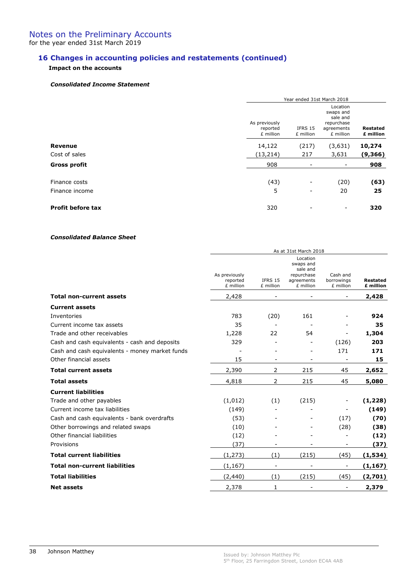# 16 Changes in accounting policies and restatements (continued)

# Impact on the accounts

#### Consolidated Income Statement

|                          |                                        | Year ended 31st March 2018 |                                                                            |                       |
|--------------------------|----------------------------------------|----------------------------|----------------------------------------------------------------------------|-----------------------|
|                          | As previously<br>reported<br>£ million | IFRS 15<br>£ million       | Location<br>swaps and<br>sale and<br>repurchase<br>agreements<br>£ million | Restated<br>£ million |
| <b>Revenue</b>           | 14,122                                 | (217)                      | (3,631)                                                                    | 10,274                |
| Cost of sales            | (13, 214)                              | 217                        | 3,631                                                                      | (9,366)               |
| Gross profit             | 908                                    | -                          | -                                                                          | 908                   |
| Finance costs            | (43)                                   | -                          | (20)                                                                       | (63)                  |
| Finance income           | 5                                      | $\overline{\phantom{a}}$   | 20                                                                         | 25                    |
| <b>Profit before tax</b> | 320                                    | $\overline{\phantom{a}}$   | -                                                                          | 320                   |

## Consolidated Balance Sheet

|                                                |                                        |                          | As at 31st March 2018                                                      |                                     |                       |
|------------------------------------------------|----------------------------------------|--------------------------|----------------------------------------------------------------------------|-------------------------------------|-----------------------|
|                                                | As previously<br>reported<br>£ million | IFRS 15<br>£ million     | Location<br>swaps and<br>sale and<br>repurchase<br>agreements<br>£ million | Cash and<br>borrowings<br>£ million | Restated<br>£ million |
| <b>Total non-current assets</b>                | 2,428                                  | $\overline{\phantom{a}}$ | $\overline{\phantom{a}}$                                                   | $\overline{\phantom{a}}$            | 2,428                 |
| <b>Current assets</b>                          |                                        |                          |                                                                            |                                     |                       |
| Inventories                                    | 783                                    | (20)                     | 161                                                                        |                                     | 924                   |
| Current income tax assets                      | 35                                     |                          |                                                                            |                                     | 35                    |
| Trade and other receivables                    | 1,228                                  | 22                       | 54                                                                         |                                     | 1,304                 |
| Cash and cash equivalents - cash and deposits  | 329                                    | $\overline{\phantom{0}}$ |                                                                            | (126)                               | 203                   |
| Cash and cash equivalents - money market funds |                                        |                          |                                                                            | 171                                 | 171                   |
| Other financial assets                         | 15                                     |                          |                                                                            |                                     | 15                    |
| <b>Total current assets</b>                    | 2,390                                  | 2                        | 215                                                                        | 45                                  | 2,652                 |
| <b>Total assets</b>                            | 4,818                                  | $\overline{2}$           | 215                                                                        | 45                                  | 5,080                 |
| <b>Current liabilities</b>                     |                                        |                          |                                                                            |                                     |                       |
| Trade and other payables                       | (1,012)                                | (1)                      | (215)                                                                      |                                     | (1, 228)              |
| Current income tax liabilities                 | (149)                                  |                          |                                                                            |                                     | (149)                 |
| Cash and cash equivalents - bank overdrafts    | (53)                                   |                          |                                                                            | (17)                                | (70)                  |
| Other borrowings and related swaps             | (10)                                   |                          |                                                                            | (28)                                | (38)                  |
| Other financial liabilities                    | (12)                                   |                          |                                                                            |                                     | (12)                  |
| Provisions                                     | (37)                                   |                          |                                                                            |                                     | (37)                  |
| <b>Total current liabilities</b>               | (1, 273)                               | (1)                      | (215)                                                                      | (45)                                | (1, 534)              |
| <b>Total non-current liabilities</b>           | (1, 167)                               | $\overline{\phantom{a}}$ | $\overline{\phantom{a}}$                                                   | $\overline{\phantom{a}}$            | (1, 167)              |
| <b>Total liabilities</b>                       | (2,440)                                | (1)                      | (215)                                                                      | (45)                                | (2,701)               |
| <b>Net assets</b>                              | 2,378                                  | 1                        |                                                                            |                                     | 2,379                 |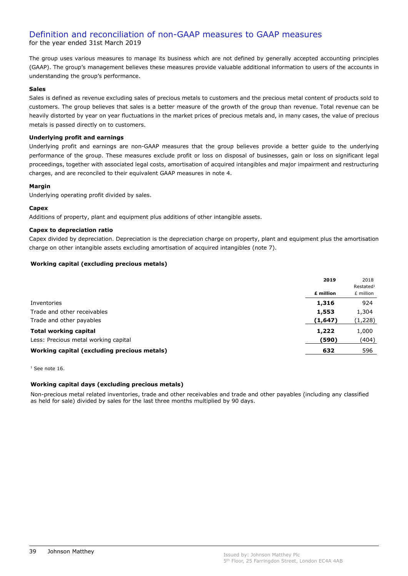# Definition and reconciliation of non-GAAP measures to GAAP measures for the year ended 31st March 2019

The group uses various measures to manage its business which are not defined by generally accepted accounting principles (GAAP). The group's management believes these measures provide valuable additional information to users of the accounts in understanding the group's performance.

## Sales

Sales is defined as revenue excluding sales of precious metals to customers and the precious metal content of products sold to customers. The group believes that sales is a better measure of the growth of the group than revenue. Total revenue can be heavily distorted by year on year fluctuations in the market prices of precious metals and, in many cases, the value of precious metals is passed directly on to customers.

#### Underlying profit and earnings

Underlying profit and earnings are non-GAAP measures that the group believes provide a better guide to the underlying performance of the group. These measures exclude profit or loss on disposal of businesses, gain or loss on significant legal proceedings, together with associated legal costs, amortisation of acquired intangibles and major impairment and restructuring charges, and are reconciled to their equivalent GAAP measures in note 4.

## Margin

Underlying operating profit divided by sales.

## Canex

Additions of property, plant and equipment plus additions of other intangible assets.

## Capex to depreciation ratio

Capex divided by depreciation. Depreciation is the depreciation charge on property, plant and equipment plus the amortisation charge on other intangible assets excluding amortisation of acquired intangibles (note 7).

## Working capital (excluding precious metals)

|                                             | 2019      | 2018                  |
|---------------------------------------------|-----------|-----------------------|
|                                             |           | Restated <sup>1</sup> |
|                                             | £ million | £ million             |
| Inventories                                 | 1,316     | 924                   |
| Trade and other receivables                 | 1,553     | 1,304                 |
| Trade and other payables                    | (1,647)   | (1,228)               |
| <b>Total working capital</b>                | 1,222     | 1,000                 |
| Less: Precious metal working capital        | (590)     | (404)                 |
| Working capital (excluding precious metals) | 632       | 596                   |

1 See note 16.

## Working capital days (excluding precious metals)

Non-precious metal related inventories, trade and other receivables and trade and other payables (including any classified as held for sale) divided by sales for the last three months multiplied by 90 days.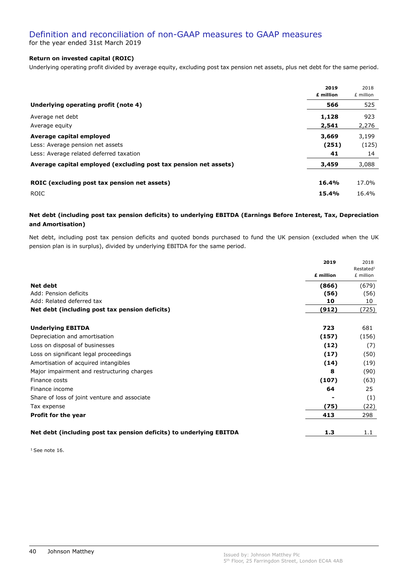# Definition and reconciliation of non-GAAP measures to GAAP measures for the year ended 31st March 2019

## Return on invested capital (ROIC)

Underlying operating profit divided by average equity, excluding post tax pension net assets, plus net debt for the same period.

|                                                                  | 2019<br>£ million | 2018<br>£ million |
|------------------------------------------------------------------|-------------------|-------------------|
| Underlying operating profit (note 4)                             | 566               | 525               |
| Average net debt                                                 | 1,128             | 923               |
| Average equity                                                   | 2,541             | 2,276             |
| Average capital employed                                         | 3,669             | 3,199             |
| Less: Average pension net assets                                 | (251)             | (125)             |
| Less: Average related deferred taxation                          | 41                | 14                |
| Average capital employed (excluding post tax pension net assets) | 3,459             | 3,088             |
| ROIC (excluding post tax pension net assets)                     | 16.4%             | 17.0%             |
| ROIC                                                             | 15.4%             | 16.4%             |

## Net debt (including post tax pension deficits) to underlying EBITDA (Earnings Before Interest, Tax, Depreciation and Amortisation)

Net debt, including post tax pension deficits and quoted bonds purchased to fund the UK pension (excluded when the UK pension plan is in surplus), divided by underlying EBITDA for the same period.

|                                                                     | 2019      | 2018                               |
|---------------------------------------------------------------------|-----------|------------------------------------|
|                                                                     | £ million | Restated <sup>1</sup><br>£ million |
| Net debt                                                            | (866)     | (679)                              |
| Add: Pension deficits                                               | (56)      | (56)                               |
| Add: Related deferred tax                                           | 10        | 10                                 |
| Net debt (including post tax pension deficits)                      | (912)     | (725)                              |
| <b>Underlying EBITDA</b>                                            | 723       | 681                                |
| Depreciation and amortisation                                       | (157)     | (156)                              |
| Loss on disposal of businesses                                      | (12)      | (7)                                |
| Loss on significant legal proceedings                               | (17)      | (50)                               |
| Amortisation of acquired intangibles                                | (14)      | (19)                               |
| Major impairment and restructuring charges                          | 8         | (90)                               |
| Finance costs                                                       | (107)     | (63)                               |
| Finance income                                                      | 64        | 25                                 |
| Share of loss of joint venture and associate                        |           | (1)                                |
| Tax expense                                                         | (75)      | (22)                               |
| Profit for the year                                                 | 413       | 298                                |
| Net debt (including post tax pension deficits) to underlying EBITDA | 1.3       | 1.1                                |

 $1$  See note 16.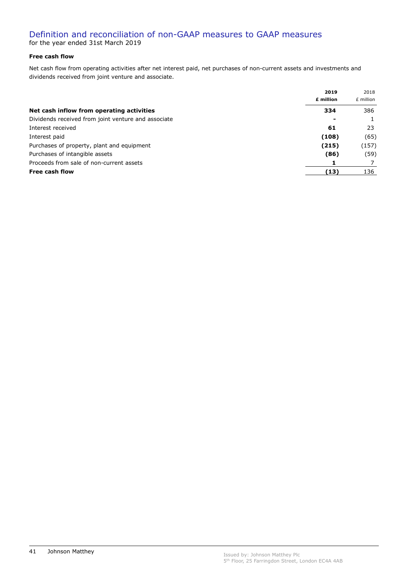# Definition and reconciliation of non-GAAP measures to GAAP measures for the year ended 31st March 2019

# Free cash flow

Net cash flow from operating activities after net interest paid, net purchases of non-current assets and investments and dividends received from joint venture and associate.

|                                                     | 2019<br>£ million | 2018<br>£ million |
|-----------------------------------------------------|-------------------|-------------------|
| Net cash inflow from operating activities           | 334               | 386               |
| Dividends received from joint venture and associate |                   |                   |
| Interest received                                   | 61                | 23                |
| Interest paid                                       | (108)             | (65)              |
| Purchases of property, plant and equipment          | (215)             | (157)             |
| Purchases of intangible assets                      | (86)              | (59)              |
| Proceeds from sale of non-current assets            |                   |                   |
| Free cash flow                                      | (13)              | 136               |